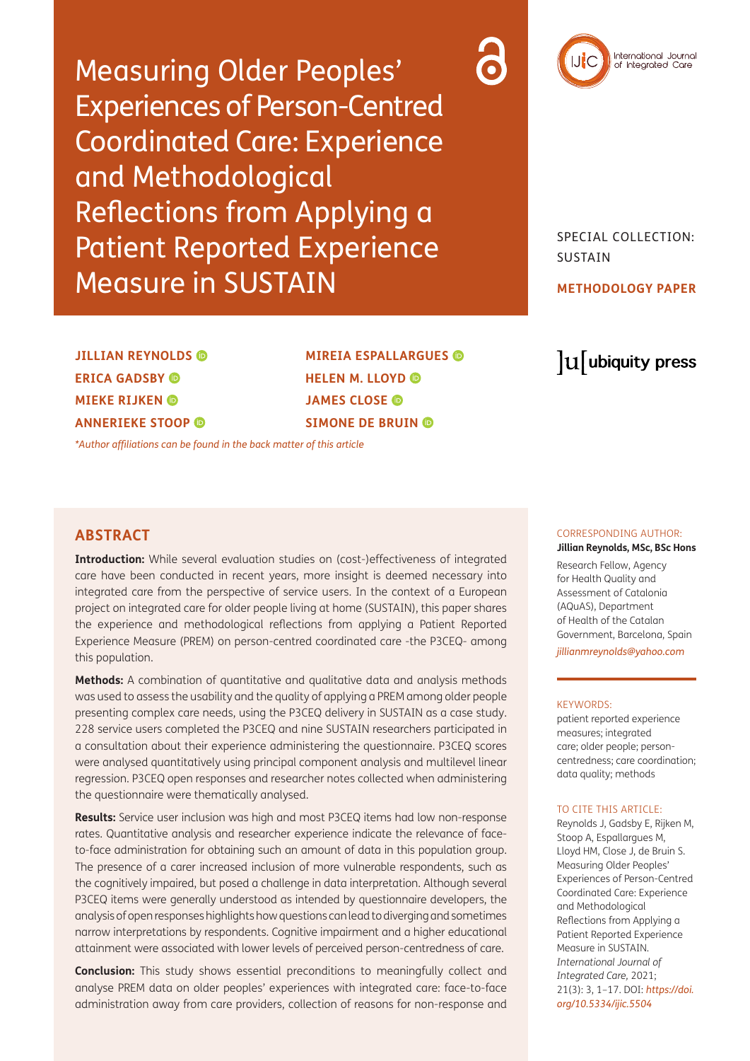Measuring Older Peoples' Experiences of Person-Centred Coordinated Care: Experience and Methodological Reflections from Applying a Patient Reported Experience Measure in SUSTAIN



SPECIAL COLLECTION: SUSTAIN

### **METHODOLOGY PAPER**

**JILLIAN REYNOLDS ERICA GADSBY MIEKE RIJKEN ANNERIEKE STOOP** 

**MIREIA ESPALLARGUES HELENM. LLOYD JAMES CLOSE SIMONE DE BRUIN** 

*[\\*Author affiliations can be found in the back matter of this article](#page-12-0)*

# **ABSTRACT**

**Introduction:** While several evaluation studies on (cost-)effectiveness of integrated care have been conducted in recent years, more insight is deemed necessary into integrated care from the perspective of service users. In the context of a European project on integrated care for older people living at home (SUSTAIN), this paper shares the experience and methodological reflections from applying a Patient Reported Experience Measure (PREM) on person-centred coordinated care -the P3CEQ- among this population.

**Methods:** A combination of quantitative and qualitative data and analysis methods was used to assess the usability and the quality of applying a PREM among older people presenting complex care needs, using the P3CEQ delivery in SUSTAIN as a case study. 228 service users completed the P3CEQ and nine SUSTAIN researchers participated in a consultation about their experience administering the questionnaire. P3CEQ scores were analysed quantitatively using principal component analysis and multilevel linear regression. P3CEQ open responses and researcher notes collected when administering the questionnaire were thematically analysed.

**Results:** Service user inclusion was high and most P3CEQ items had low non-response rates. Quantitative analysis and researcher experience indicate the relevance of faceto-face administration for obtaining such an amount of data in this population group. The presence of a carer increased inclusion of more vulnerable respondents, such as the cognitively impaired, but posed a challenge in data interpretation. Although several P3CEQ items were generally understood as intended by questionnaire developers, the analysis of open responses highlights how questions can lead to diverging and sometimes narrow interpretations by respondents. Cognitive impairment and a higher educational attainment were associated with lower levels of perceived person-centredness of care.

**Conclusion:** This study shows essential preconditions to meaningfully collect and analyse PREM data on older peoples' experiences with integrated care: face-to-face administration away from care providers, collection of reasons for non-response and

# lu ubiquity press

### CORRESPONDING AUTHOR:

**Jillian Reynolds, MSc, BSc Hons** Research Fellow, Agency for Health Quality and

Assessment of Catalonia (AQuAS), Department of Health of the Catalan Government, Barcelona, Spain

*[jillianmreynolds@yahoo.com](mailto:jillianmreynolds@yahoo.com)*

#### KEYWORDS:

patient reported experience measures; integrated care; older people; personcentredness; care coordination; data quality; methods

#### TO CITE THIS ARTICLE:

Reynolds J, Gadsby E, Rijken M, Stoop A, Espallargues M, Lloyd HM, Close J, de Bruin S. Measuring Older Peoples' Experiences of Person-Centred Coordinated Care: Experience and Methodological Reflections from Applying a Patient Reported Experience Measure in SUSTAIN. *International Journal of Integrated Care,* 2021; 21(3): 3, 1–17. DOI: *[https://doi.](https://doi.org/10.5334/ijic.5504) [org/10.5334/ijic.5504](https://doi.org/10.5334/ijic.5504)*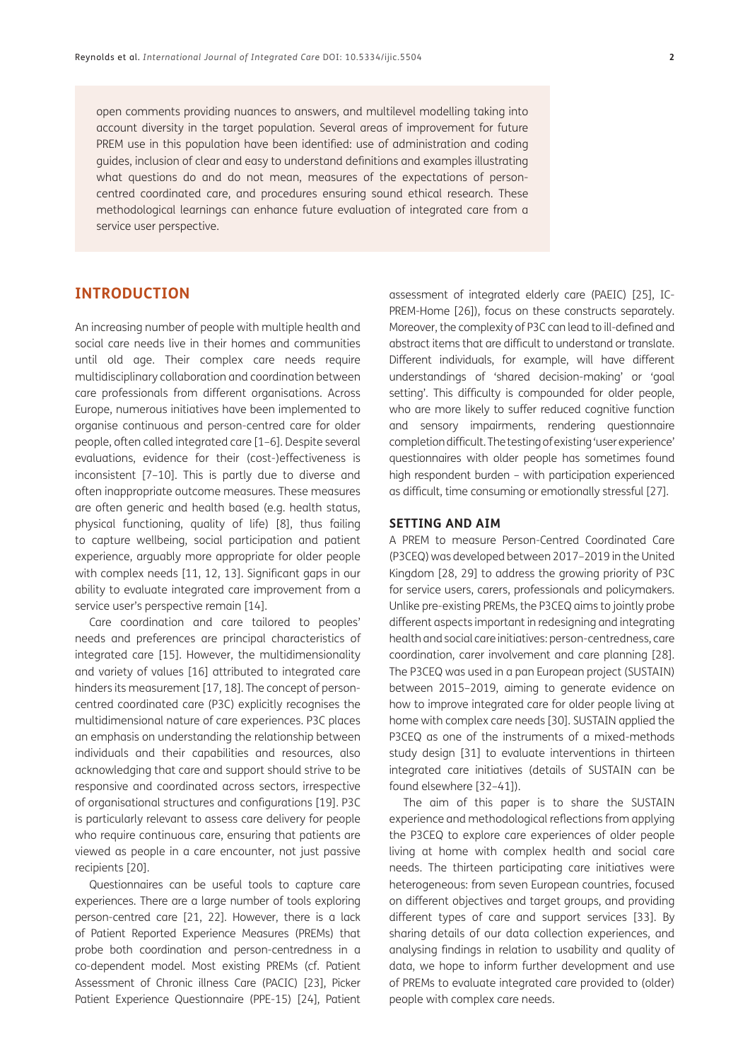open comments providing nuances to answers, and multilevel modelling taking into account diversity in the target population. Several areas of improvement for future PREM use in this population have been identified: use of administration and coding guides, inclusion of clear and easy to understand definitions and examples illustrating what questions do and do not mean, measures of the expectations of personcentred coordinated care, and procedures ensuring sound ethical research. These methodological learnings can enhance future evaluation of integrated care from a service user perspective.

### **INTRODUCTION**

An increasing number of people with multiple health and social care needs live in their homes and communities until old age. Their complex care needs require multidisciplinary collaboration and coordination between care professionals from different organisations. Across Europe, numerous initiatives have been implemented to organise continuous and person-centred care for older people, often called integrated care [1–6]. Despite several evaluations, evidence for their (cost-)effectiveness is inconsistent [7–10]. This is partly due to diverse and often inappropriate outcome measures. These measures are often generic and health based (e.g. health status, physical functioning, quality of life) [8], thus failing to capture wellbeing, social participation and patient experience, arguably more appropriate for older people with complex needs [11, 12, 13]. Significant gaps in our ability to evaluate integrated care improvement from a service user's perspective remain [14].

Care coordination and care tailored to peoples' needs and preferences are principal characteristics of integrated care [15]. However, the multidimensionality and variety of values [16] attributed to integrated care hinders its measurement [17, 18]. The concept of personcentred coordinated care (P3C) explicitly recognises the multidimensional nature of care experiences. P3C places an emphasis on understanding the relationship between individuals and their capabilities and resources, also acknowledging that care and support should strive to be responsive and coordinated across sectors, irrespective of organisational structures and configurations [19]. P3C is particularly relevant to assess care delivery for people who require continuous care, ensuring that patients are viewed as people in a care encounter, not just passive recipients [20].

Questionnaires can be useful tools to capture care experiences. There are a large number of tools exploring person-centred care [21, 22]. However, there is a lack of Patient Reported Experience Measures (PREMs) that probe both coordination and person-centredness in a co-dependent model. Most existing PREMs (cf. Patient Assessment of Chronic illness Care (PACIC) [23], Picker Patient Experience Questionnaire (PPE-15) [24], Patient

assessment of integrated elderly care (PAEIC) [25], IC-PREM-Home [26]), focus on these constructs separately. Moreover, the complexity of P3C can lead to ill-defined and abstract items that are difficult to understand or translate. Different individuals, for example, will have different understandings of 'shared decision-making' or 'goal setting'. This difficulty is compounded for older people, who are more likely to suffer reduced cognitive function and sensory impairments, rendering questionnaire completion difficult. The testing of existing 'user experience' questionnaires with older people has sometimes found high respondent burden – with participation experienced as difficult, time consuming or emotionally stressful [27].

#### **SETTING AND AIM**

A PREM to measure Person-Centred Coordinated Care (P3CEQ) was developed between 2017–2019 in the United Kingdom [28, 29] to address the growing priority of P3C for service users, carers, professionals and policymakers. Unlike pre-existing PREMs, the P3CEQ aims to jointly probe different aspects important in redesigning and integrating health and social care initiatives: person-centredness, care coordination, carer involvement and care planning [28]. The P3CEQ was used in a pan European project (SUSTAIN) between 2015–2019, aiming to generate evidence on how to improve integrated care for older people living at home with complex care needs [30]. SUSTAIN applied the P3CEQ as one of the instruments of a mixed-methods study design [31] to evaluate interventions in thirteen integrated care initiatives (details of SUSTAIN can be found elsewhere [32–41]).

The aim of this paper is to share the SUSTAIN experience and methodological reflections from applying the P3CEQ to explore care experiences of older people living at home with complex health and social care needs. The thirteen participating care initiatives were heterogeneous: from seven European countries, focused on different objectives and target groups, and providing different types of care and support services [33]. By sharing details of our data collection experiences, and analysing findings in relation to usability and quality of data, we hope to inform further development and use of PREMs to evaluate integrated care provided to (older) people with complex care needs.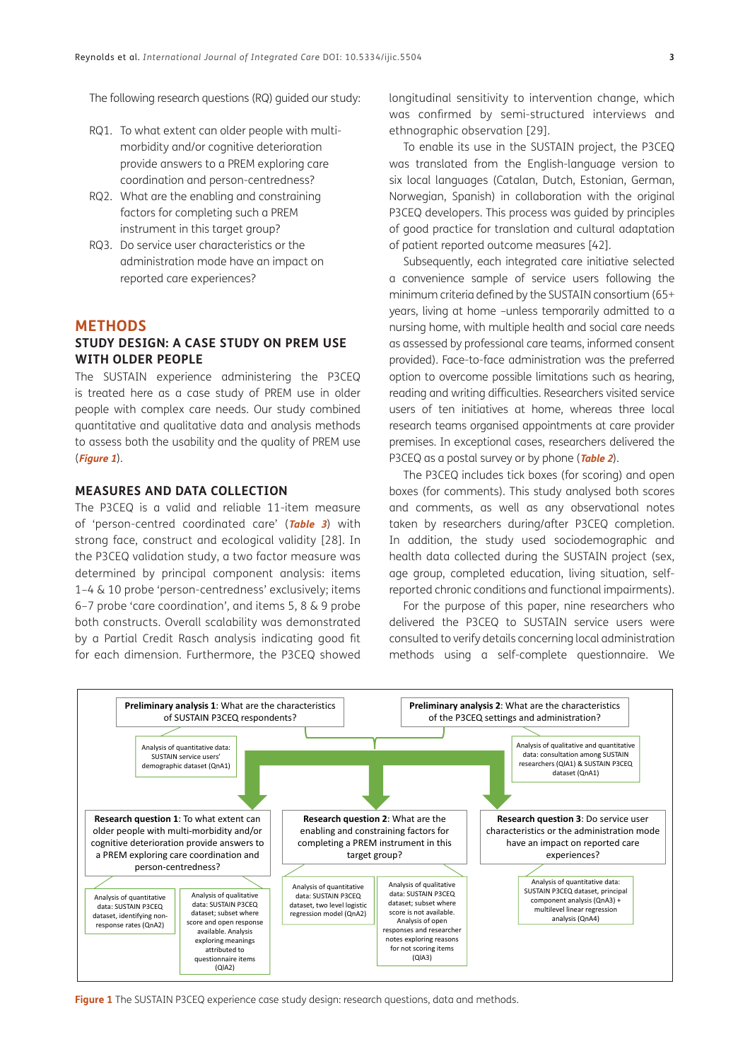The following research questions (RQ) guided our study:

- RQ1. To what extent can older people with multimorbidity and/or cognitive deterioration provide answers to a PREM exploring care coordination and person-centredness?
- RQ2. What are the enabling and constraining factors for completing such a PREM instrument in this target group?
- RQ3. Do service user characteristics or the administration mode have an impact on reported care experiences?

#### **METHODS**

### **STUDY DESIGN: A CASE STUDY ON PREM USE WITH OLDER PEOPLE**

The SUSTAIN experience administering the P3CEQ is treated here as a case study of PREM use in older people with complex care needs. Our study combined quantitative and qualitative data and analysis methods to assess both the usability and the quality of PREM use (**[Figure 1](#page-2-0)**).

### **MEASURES AND DATA COLLECTION**

The P3CEQ is a valid and reliable 11-item measure of 'person-centred coordinated care' (**[Table](#page-7-0) <sup>3</sup>**) with strong face, construct and ecological validity [28]. In the P3CEQ validation study, a two factor measure was determined by principal component analysis: items 1–4 & 10 probe 'person-centredness' exclusively; items 6–7 probe 'care coordination', and items 5, 8 & 9 probe both constructs. Overall scalability was demonstrated by a Partial Credit Rasch analysis indicating good fit for each dimension. Furthermore, the P3CEQ showed longitudinal sensitivity to intervention change, which was confirmed by semi-structured interviews and ethnographic observation [29].

To enable its use in the SUSTAIN project, the P3CEQ was translated from the English-language version to six local languages (Catalan, Dutch, Estonian, German, Norwegian, Spanish) in collaboration with the original P3CEQ developers. This process was guided by principles of good practice for translation and cultural adaptation of patient reported outcome measures [42].

Subsequently, each integrated care initiative selected a convenience sample of service users following the minimum criteria defined by the SUSTAIN consortium (65+ years, living at home –unless temporarily admitted to a nursing home, with multiple health and social care needs as assessed by professional care teams, informed consent provided). Face-to-face administration was the preferred option to overcome possible limitations such as hearing, reading and writing difficulties. Researchers visited service users of ten initiatives at home, whereas three local research teams organised appointments at care provider premises. In exceptional cases, researchers delivered the P3CEQ as a postal survey or by phone (**[Table 2](#page-5-0)**).

The P3CEQ includes tick boxes (for scoring) and open boxes (for comments). This study analysed both scores and comments, as well as any observational notes taken by researchers during/after P3CEQ completion. In addition, the study used sociodemographic and health data collected during the SUSTAIN project (sex, age group, completed education, living situation, selfreported chronic conditions and functional impairments).

For the purpose of this paper, nine researchers who delivered the P3CEQ to SUSTAIN service users were consulted to verify details concerning local administration methods using a self-complete questionnaire. We



<span id="page-2-0"></span>**Figure 1** The SUSTAIN P3CEQ experience case study design: research questions, data and methods.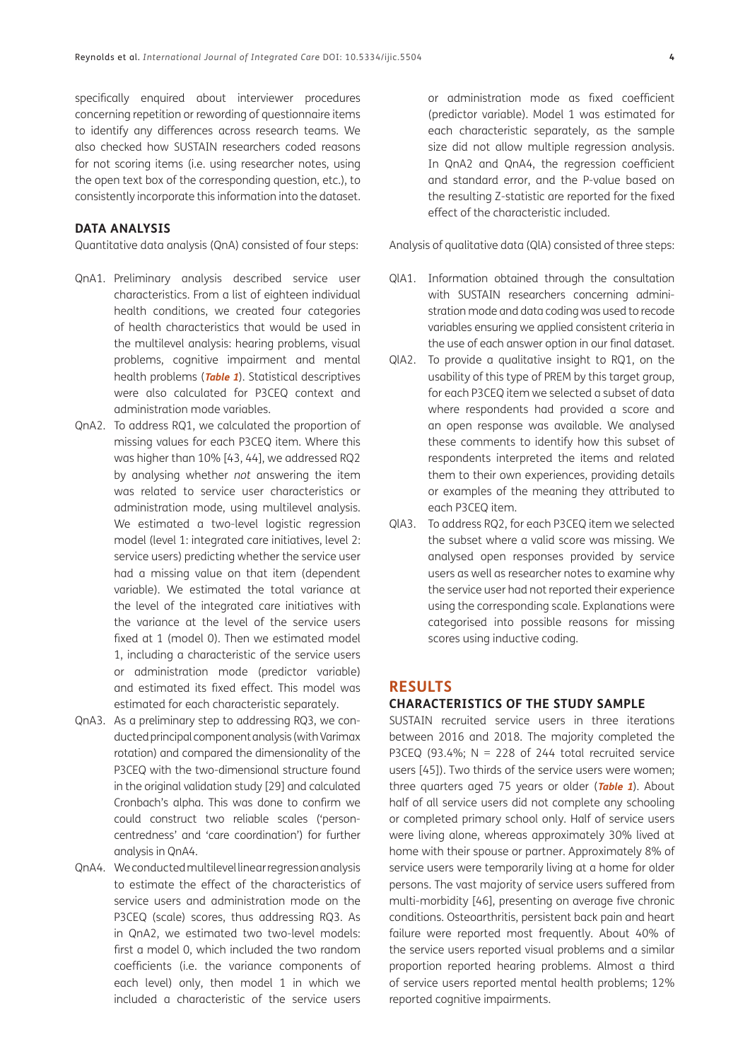specifically enquired about interviewer procedures concerning repetition or rewording of questionnaire items to identify any differences across research teams. We also checked how SUSTAIN researchers coded reasons for not scoring items (i.e. using researcher notes, using the open text box of the corresponding question, etc.), to consistently incorporate this information into the dataset.

#### **DATA ANALYSIS**

Quantitative data analysis (QnA) consisted of four steps:

- QnA1. Preliminary analysis described service user characteristics. From a list of eighteen individual health conditions, we created four categories of health characteristics that would be used in the multilevel analysis: hearing problems, visual problems, cognitive impairment and mental health problems (**[Table 1](#page-4-0)**). Statistical descriptives were also calculated for P3CEQ context and administration mode variables.
- QnA2. To address RQ1, we calculated the proportion of missing values for each P3CEQ item. Where this was higher than 10% [43, 44], we addressed RQ2 by analysing whether *not* answering the item was related to service user characteristics or administration mode, using multilevel analysis. We estimated a two-level logistic regression model (level 1: integrated care initiatives, level 2: service users) predicting whether the service user had a missing value on that item (dependent variable). We estimated the total variance at the level of the integrated care initiatives with the variance at the level of the service users fixed at 1 (model 0). Then we estimated model 1, including a characteristic of the service users or administration mode (predictor variable) and estimated its fixed effect. This model was estimated for each characteristic separately.
- QnA3. As a preliminary step to addressing RQ3, we conducted principal component analysis (with Varimax rotation) and compared the dimensionality of the P3CEQ with the two-dimensional structure found in the original validation study [29] and calculated Cronbach's alpha. This was done to confirm we could construct two reliable scales ('personcentredness' and 'care coordination') for further analysis in QnA4.
- QnA4. We conducted multilevel linear regression analysis to estimate the effect of the characteristics of service users and administration mode on the P3CEQ (scale) scores, thus addressing RQ3. As in QnA2, we estimated two two-level models: first a model 0, which included the two random coefficients (i.e. the variance components of each level) only, then model 1 in which we included a characteristic of the service users

or administration mode as fixed coefficient (predictor variable). Model 1 was estimated for each characteristic separately, as the sample size did not allow multiple regression analysis. In QnA2 and QnA4, the regression coefficient and standard error, and the P-value based on the resulting Z-statistic are reported for the fixed effect of the characteristic included.

Analysis of qualitative data (QlA) consisted of three steps:

- QlA1. Information obtained through the consultation with SUSTAIN researchers concerning administration mode and data coding was used to recode variables ensuring we applied consistent criteria in the use of each answer option in our final dataset.
- QlA2. To provide a qualitative insight to RQ1, on the usability of this type of PREM by this target group, for each P3CEQ item we selected a subset of data where respondents had provided a score and an open response was available. We analysed these comments to identify how this subset of respondents interpreted the items and related them to their own experiences, providing details or examples of the meaning they attributed to each P3CEQ item.
- QlA3. To address RQ2, for each P3CEQ item we selected the subset where a valid score was missing. We analysed open responses provided by service users as well as researcher notes to examine why the service user had not reported their experience using the corresponding scale. Explanations were categorised into possible reasons for missing scores using inductive coding.

### **RESULTS**

#### **CHARACTERISTICS OF THE STUDY SAMPLE**

SUSTAIN recruited service users in three iterations between 2016 and 2018. The majority completed the P3CEQ (93.4%;  $N = 228$  of 244 total recruited service users [45]). Two thirds of the service users were women; three quarters aged 75 years or older (**[Table 1](#page-4-0)**). About half of all service users did not complete any schooling or completed primary school only. Half of service users were living alone, whereas approximately 30% lived at home with their spouse or partner. Approximately 8% of service users were temporarily living at a home for older persons. The vast majority of service users suffered from multi-morbidity [46], presenting on average five chronic conditions. Osteoarthritis, persistent back pain and heart failure were reported most frequently. About 40% of the service users reported visual problems and a similar proportion reported hearing problems. Almost a third of service users reported mental health problems; 12% reported cognitive impairments.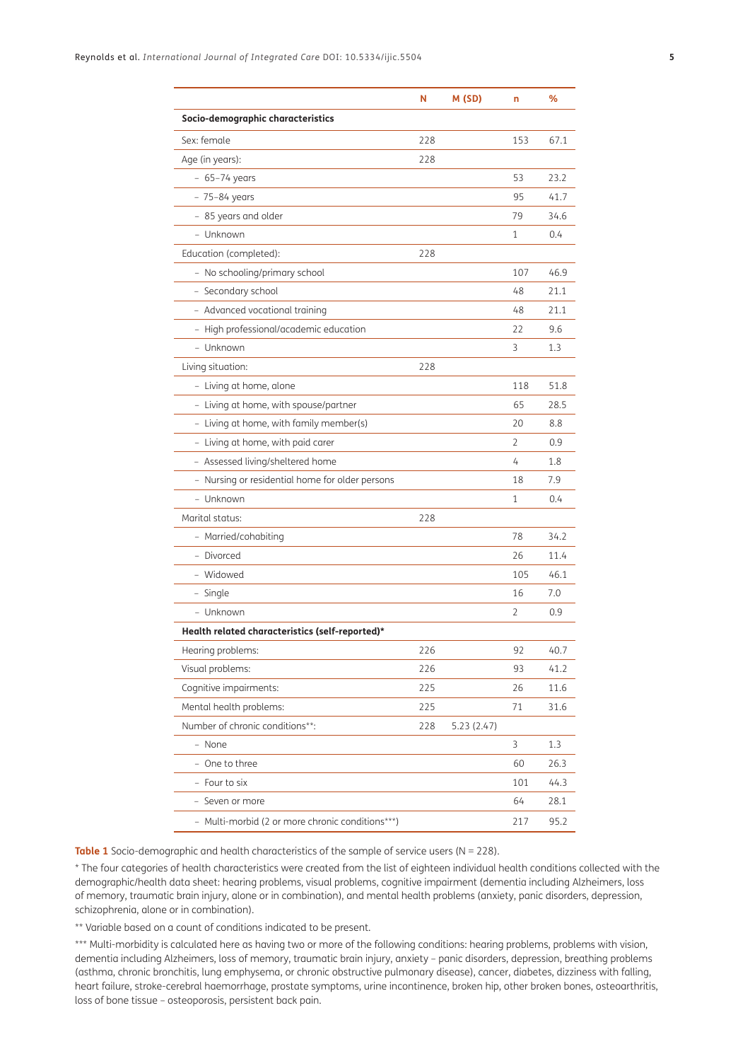|                                                  | N   | M (SD)     | n            | ℅    |
|--------------------------------------------------|-----|------------|--------------|------|
| Socio-demographic characteristics                |     |            |              |      |
| Sex: female                                      | 228 |            | 153          | 67.1 |
| Age (in years):                                  | 228 |            |              |      |
| $-65-74$ years                                   |     |            | 53           | 23.2 |
| - 75-84 years                                    |     |            | 95           | 41.7 |
| - 85 years and older                             |     |            | 79           | 34.6 |
| - Unknown                                        |     |            | 1            | 0.4  |
| Education (completed):                           | 228 |            |              |      |
| - No schooling/primary school                    |     |            | 107          | 46.9 |
| - Secondary school                               |     |            | 48           | 21.1 |
| - Advanced vocational training                   |     |            | 48           | 21.1 |
| - High professional/academic education           |     |            | 22           | 9.6  |
| - Unknown                                        |     |            | 3            | 1.3  |
| Living situation:                                | 228 |            |              |      |
| - Living at home, alone                          |     |            | 118          | 51.8 |
| - Living at home, with spouse/partner            |     |            | 65           | 28.5 |
| - Living at home, with family member(s)          |     |            | 20           | 8.8  |
| - Living at home, with paid carer                |     |            | 2            | 0.9  |
| - Assessed living/sheltered home                 |     |            | 4            | 1.8  |
| - Nursing or residential home for older persons  |     |            | 18           | 7.9  |
| - Unknown                                        |     |            | 1            | 0.4  |
| Marital status:                                  | 228 |            |              |      |
| - Married/cohabiting                             |     |            | 78           | 34.2 |
| - Divorced                                       |     |            | 26           | 11.4 |
| - Widowed                                        |     |            | 105          | 46.1 |
| - Single                                         |     |            | 16           | 7.0  |
| - Unknown                                        |     |            | 2            | 0.9  |
| Health related characteristics (self-reported)*  |     |            |              |      |
| Hearing problems:                                | 226 |            | 92           | 40.7 |
| Visual problems:                                 | 226 |            | 93           | 41.2 |
| Cognitive impairments:                           | 225 |            | 26           | 11.6 |
| Mental health problems:                          | 225 |            | 71           | 31.6 |
| Number of chronic conditions**:                  | 228 | 5.23(2.47) |              |      |
| - None                                           |     |            | $\mathsf{3}$ | 1.3  |
| - One to three                                   |     |            | 60           | 26.3 |
| - Four to six                                    |     |            | 101          | 44.3 |
| - Seven or more                                  |     |            | 64           | 28.1 |
| - Multi-morbid (2 or more chronic conditions***) |     |            | 217          | 95.2 |

<span id="page-4-0"></span>**Table 1** Socio-demographic and health characteristics of the sample of service users (N = 228).

\* The four categories of health characteristics were created from the list of eighteen individual health conditions collected with the demographic/health data sheet: hearing problems, visual problems, cognitive impairment (dementia including Alzheimers, loss of memory, traumatic brain injury, alone or in combination), and mental health problems (anxiety, panic disorders, depression, schizophrenia, alone or in combination).

\*\* Variable based on a count of conditions indicated to be present.

\*\*\* Multi-morbidity is calculated here as having two or more of the following conditions: hearing problems, problems with vision, dementia including Alzheimers, loss of memory, traumatic brain injury, anxiety – panic disorders, depression, breathing problems (asthma, chronic bronchitis, lung emphysema, or chronic obstructive pulmonary disease), cancer, diabetes, dizziness with falling, heart failure, stroke-cerebral haemorrhage, prostate symptoms, urine incontinence, broken hip, other broken bones, osteoarthritis, loss of bone tissue – osteoporosis, persistent back pain.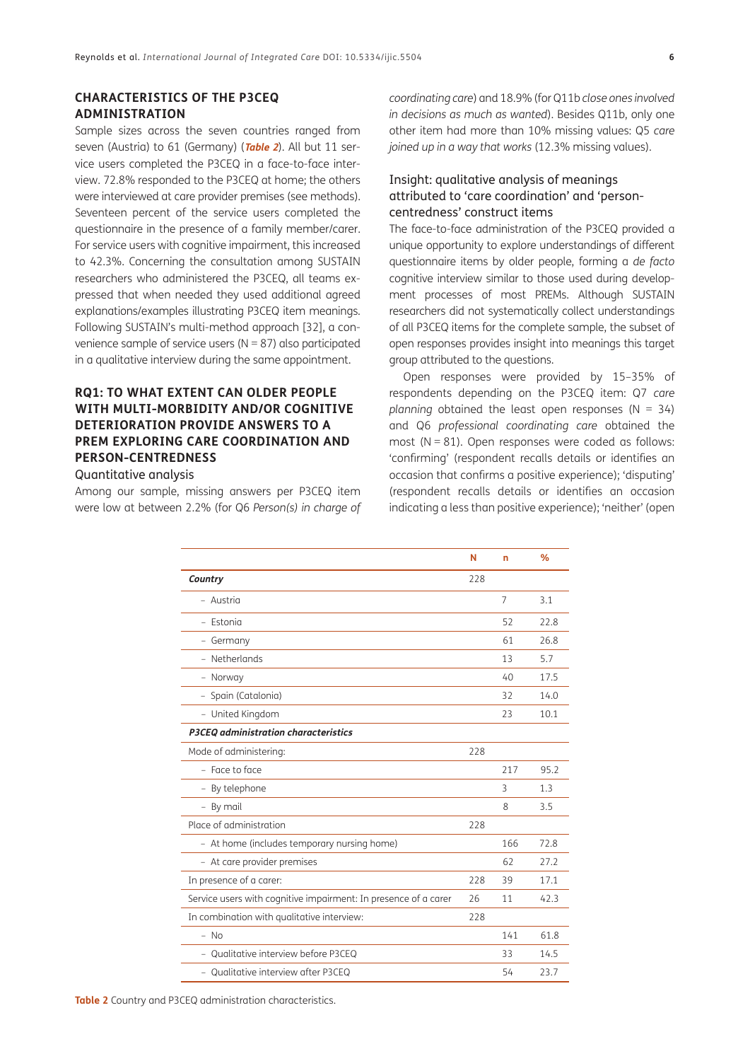### **CHARACTERISTICS OF THE P3CEQ ADMINISTRATION**

Sample sizes across the seven countries ranged from seven (Austria) to 61 (Germany) (**[Table 2](#page-5-0)**). All but 11 service users completed the P3CEQ in a face-to-face interview. 72.8% responded to the P3CEQ at home; the others were interviewed at care provider premises (see methods). Seventeen percent of the service users completed the questionnaire in the presence of a family member/carer. For service users with cognitive impairment, this increased to 42.3%. Concerning the consultation among SUSTAIN researchers who administered the P3CEQ, all teams expressed that when needed they used additional agreed explanations/examples illustrating P3CEQ item meanings. Following SUSTAIN's multi-method approach [32], a convenience sample of service users ( $N = 87$ ) also participated in a qualitative interview during the same appointment.

# **RQ1: TO WHAT EXTENT CAN OLDER PEOPLE WITH MULTI-MORBIDITY AND/OR COGNITIVE DETERIORATION PROVIDE ANSWERS TO A PREM EXPLORING CARE COORDINATION AND PERSON-CENTREDNESS**

### Quantitative analysis

Among our sample, missing answers per P3CEQ item were low at between 2.2% (for Q6 *Person(s) in charge of*  *coordinating care*) and 18.9% (for Q11b *close ones involved in decisions as much as wanted*). Besides Q11b, only one other item had more than 10% missing values: Q5 *care joined up in a way that works* (12.3% missing values).

### Insight: qualitative analysis of meanings attributed to 'care coordination' and 'personcentredness' construct items

The face-to-face administration of the P3CEQ provided a unique opportunity to explore understandings of different questionnaire items by older people, forming a *de facto* cognitive interview similar to those used during development processes of most PREMs. Although SUSTAIN researchers did not systematically collect understandings of all P3CEQ items for the complete sample, the subset of open responses provides insight into meanings this target group attributed to the questions.

Open responses were provided by 15–35% of respondents depending on the P3CEQ item: Q7 *care planning* obtained the least open responses (N = 34) and Q6 *professional coordinating care* obtained the most  $(N = 81)$ . Open responses were coded as follows: 'confirming' (respondent recalls details or identifies an occasion that confirms a positive experience); 'disputing' (respondent recalls details or identifies an occasion indicating a less than positive experience); 'neither' (open

<span id="page-5-0"></span>

|                                                                 | N   | n              | %    |
|-----------------------------------------------------------------|-----|----------------|------|
| Country                                                         | 228 |                |      |
| - Austria                                                       |     | $\overline{7}$ | 3.1  |
| - Estonia                                                       |     | 52             | 22.8 |
| - Germany                                                       |     | 61             | 26.8 |
| - Netherlands                                                   |     | 13             | 5.7  |
| - Norway                                                        |     | $40^{1}$       | 17.5 |
| - Spain (Catalonia)                                             |     | 32             | 14.0 |
| - United Kingdom                                                |     | 23             | 10.1 |
| P3CEO administration characteristics                            |     |                |      |
| Mode of administering:                                          | 228 |                |      |
| $-$ Face to face                                                |     | 217            | 95.2 |
| - By telephone                                                  |     | 3              | 1.3  |
| By mail<br>$-$                                                  |     | 8              | 3.5  |
| Place of administration                                         | 228 |                |      |
| - At home (includes temporary nursing home)                     |     | 166            | 72.8 |
| - At care provider premises                                     |     | 62             | 27.2 |
| In presence of a carer:                                         | 228 | 39             | 17.1 |
| Service users with cognitive impairment: In presence of a carer | 26  | 11             | 42.3 |
| In combination with qualitative interview:                      | 228 |                |      |
| $-$ No                                                          |     | 141            | 61.8 |
| - Qualitative interview before P3CEQ                            |     | 33             | 14.5 |
| - Qualitative interview after P3CEQ                             |     | 54             | 23.7 |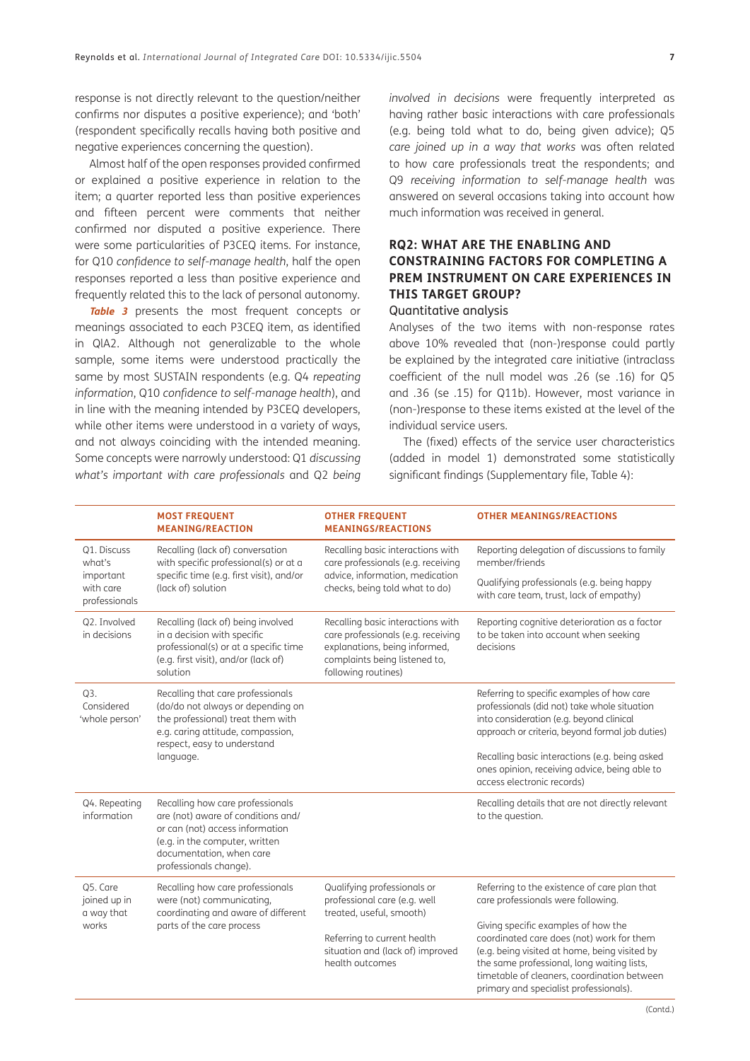response is not directly relevant to the question/neither confirms nor disputes a positive experience); and 'both' (respondent specifically recalls having both positive and negative experiences concerning the question).

Almost half of the open responses provided confirmed or explained a positive experience in relation to the item; a quarter reported less than positive experiences and fifteen percent were comments that neither confirmed nor disputed a positive experience. There were some particularities of P3CEQ items. For instance, for Q10 *confidence to self-manage health*, half the open responses reported a less than positive experience and frequently related this to the lack of personal autonomy.

**[Table 3](#page-7-0)** presents the most frequent concepts or meanings associated to each P3CEQ item, as identified in QlA2. Although not generalizable to the whole sample, some items were understood practically the same by most SUSTAIN respondents (e.g. Q4 *repeating information*, Q10 *confidence to self-manage health*), and in line with the meaning intended by P3CEQ developers, while other items were understood in a variety of ways, and not always coinciding with the intended meaning. Some concepts were narrowly understood: Q1 *discussing what's important with care professionals* and Q2 *being*  *involved in decisions* were frequently interpreted as having rather basic interactions with care professionals (e.g. being told what to do, being given advice); Q5 *care joined up in a way that works* was often related to how care professionals treat the respondents; and Q9 *receiving information to self-manage health* was answered on several occasions taking into account how much information was received in general.

# **RQ2: WHAT ARE THE ENABLING AND CONSTRAINING FACTORS FOR COMPLETING A PREM INSTRUMENT ON CARE EXPERIENCES IN THIS TARGET GROUP?**

#### Quantitative analysis

Analyses of the two items with non-response rates above 10% revealed that (non-)response could partly be explained by the integrated care initiative (intraclass coefficient of the null model was .26 (se .16) for Q5 and .36 (se .15) for Q11b). However, most variance in (non-)response to these items existed at the level of the individual service users.

The (fixed) effects of the service user characteristics (added in model 1) demonstrated some statistically significant findings (Supplementary file, Table 4):

| <b>MOST FREQUENT</b><br><b>MEANING/REACTION</b>                                                                                                                                                   | <b>OTHER FREQUENT</b><br><b>MEANINGS/REACTIONS</b>                                                                                                                            | <b>OTHER MEANINGS/REACTIONS</b>                                                                                                                                                                                                                                                                                      |
|---------------------------------------------------------------------------------------------------------------------------------------------------------------------------------------------------|-------------------------------------------------------------------------------------------------------------------------------------------------------------------------------|----------------------------------------------------------------------------------------------------------------------------------------------------------------------------------------------------------------------------------------------------------------------------------------------------------------------|
| Recalling (lack of) conversation<br>with specific professional(s) or at a                                                                                                                         | Recalling basic interactions with<br>care professionals (e.g. receiving                                                                                                       | Reporting delegation of discussions to family<br>member/friends                                                                                                                                                                                                                                                      |
| (lack of) solution                                                                                                                                                                                | checks, being told what to do)                                                                                                                                                | Qualifying professionals (e.g. being happy<br>with care team, trust, lack of empathy)                                                                                                                                                                                                                                |
| Recalling (lack of) being involved<br>in a decision with specific<br>professional(s) or at a specific time<br>(e.g. first visit), and/or (lack of)<br>solution                                    | Recalling basic interactions with<br>care professionals (e.g. receiving<br>explanations, being informed,<br>complaints being listened to,<br>following routines)              | Reporting cognitive deterioration as a factor<br>to be taken into account when seeking<br>decisions                                                                                                                                                                                                                  |
| Recalling that care professionals<br>(do/do not always or depending on<br>the professional) treat them with<br>e.g. caring attitude, compassion,<br>respect, easy to understand                   |                                                                                                                                                                               | Referring to specific examples of how care<br>professionals (did not) take whole situation<br>into consideration (e.g. beyond clinical<br>approach or criteria, beyond formal job duties)                                                                                                                            |
| language.                                                                                                                                                                                         |                                                                                                                                                                               | Recalling basic interactions (e.g. being asked<br>ones opinion, receiving advice, being able to<br>access electronic records)                                                                                                                                                                                        |
| Recalling how care professionals<br>are (not) aware of conditions and/<br>or can (not) access information<br>(e.g. in the computer, written<br>documentation, when care<br>professionals change). |                                                                                                                                                                               | Recalling details that are not directly relevant<br>to the question.                                                                                                                                                                                                                                                 |
| Recalling how care professionals<br>were (not) communicating,<br>coordinating and aware of different<br>parts of the care process                                                                 | Qualifying professionals or<br>professional care (e.g. well<br>treated, useful, smooth)<br>Referring to current health<br>situation and (lack of) improved<br>health outcomes | Referring to the existence of care plan that<br>care professionals were following.<br>Giving specific examples of how the<br>coordinated care does (not) work for them<br>(e.g. being visited at home, being visited by<br>the same professional, long waiting lists,<br>timetable of cleaners, coordination between |
|                                                                                                                                                                                                   | specific time (e.g. first visit), and/or                                                                                                                                      | advice, information, medication                                                                                                                                                                                                                                                                                      |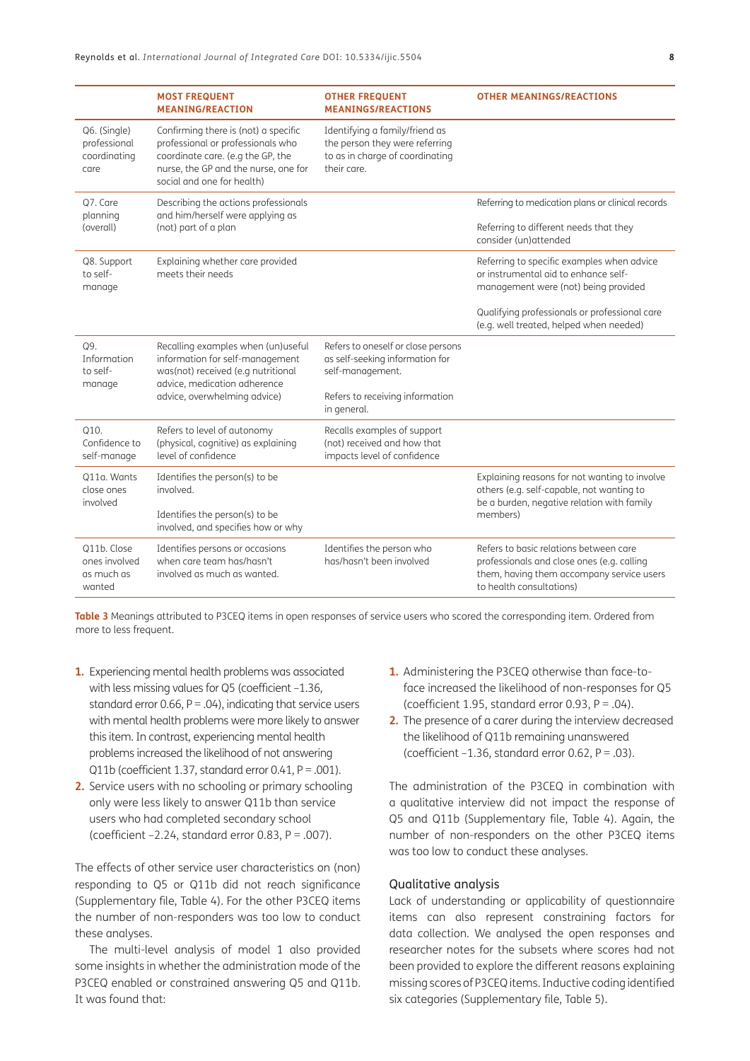|                                                      | <b>MOST FREQUENT</b><br><b>MEANING/REACTION</b>                                                                                                                                      | <b>OTHER FREQUENT</b><br><b>MEANINGS/REACTIONS</b>                                                                                          | <b>OTHER MEANINGS/REACTIONS</b>                                                                                                                                                                                        |
|------------------------------------------------------|--------------------------------------------------------------------------------------------------------------------------------------------------------------------------------------|---------------------------------------------------------------------------------------------------------------------------------------------|------------------------------------------------------------------------------------------------------------------------------------------------------------------------------------------------------------------------|
| Q6. (Single)<br>professional<br>coordinating<br>care | Confirming there is (not) a specific<br>professional or professionals who<br>coordinate care. (e.g the GP, the<br>nurse, the GP and the nurse, one for<br>social and one for health) | Identifying a family/friend as<br>the person they were referring<br>to as in charge of coordinating<br>their care.                          |                                                                                                                                                                                                                        |
| Q7. Care<br>planning<br>(overall)                    | Describing the actions professionals<br>and him/herself were applying as<br>(not) part of a plan                                                                                     |                                                                                                                                             | Referring to medication plans or clinical records<br>Referring to different needs that they<br>consider (un)attended                                                                                                   |
| Q8. Support<br>to self-<br>manage                    | Explaining whether care provided<br>meets their needs                                                                                                                                |                                                                                                                                             | Referring to specific examples when advice<br>or instrumental aid to enhance self-<br>management were (not) being provided<br>Qualifying professionals or professional care<br>(e.g. well treated, helped when needed) |
| Q9.<br>Information<br>to self-<br>manage             | Recalling examples when (un)useful<br>information for self-management<br>was(not) received (e.g nutritional<br>advice, medication adherence<br>advice, overwhelming advice)          | Refers to oneself or close persons<br>as self-seeking information for<br>self-management.<br>Refers to receiving information<br>in general. |                                                                                                                                                                                                                        |
| Q10.<br>Confidence to<br>self-manage                 | Refers to level of autonomy<br>(physical, cognitive) as explaining<br>level of confidence                                                                                            | Recalls examples of support<br>(not) received and how that<br>impacts level of confidence                                                   |                                                                                                                                                                                                                        |
| Q11a. Wants<br>close ones<br>involved                | Identifies the person(s) to be<br>involved.<br>Identifies the person(s) to be<br>involved, and specifies how or why                                                                  |                                                                                                                                             | Explaining reasons for not wanting to involve<br>others (e.g. self-capable, not wanting to<br>be a burden, negative relation with family<br>members)                                                                   |
| Q11b. Close<br>ones involved<br>as much as<br>wanted | Identifies persons or occasions<br>when care team has/hasn't<br>involved as much as wanted.                                                                                          | Identifies the person who<br>has/hasn't been involved                                                                                       | Refers to basic relations between care<br>professionals and close ones (e.g. calling<br>them, having them accompany service users<br>to health consultations)                                                          |

<span id="page-7-0"></span>**Table 3** Meanings attributed to P3CEQ items in open responses of service users who scored the corresponding item. Ordered from more to less frequent.

- **1.** Experiencing mental health problems was associated with less missing values for Q5 (coefficient -1.36, standard error  $0.66$ ,  $P = .04$ ), indicating that service users with mental health problems were more likely to answer this item. In contrast, experiencing mental health problems increased the likelihood of not answering Q11b (coefficient 1.37, standard error  $0.41$ ,  $P = .001$ ).
- **2.** Service users with no schooling or primary schooling only were less likely to answer Q11b than service users who had completed secondary school (coefficient  $-2.24$ , standard error 0.83,  $P = .007$ ).

The effects of other service user characteristics on (non) responding to Q5 or Q11b did not reach significance (Supplementary file, Table 4). For the other P3CEQ items the number of non-responders was too low to conduct these analyses.

The multi-level analysis of model 1 also provided some insights in whether the administration mode of the P3CEQ enabled or constrained answering Q5 and Q11b. It was found that:

- **1.** Administering the P3CEQ otherwise than face-toface increased the likelihood of non-responses for Q5 (coefficient 1.95, standard error 0.93,  $P = .04$ ).
- **2.** The presence of a carer during the interview decreased the likelihood of Q11b remaining unanswered (coefficient  $-1.36$ , standard error 0.62, P = .03).

The administration of the P3CEQ in combination with a qualitative interview did not impact the response of Q5 and Q11b (Supplementary file, Table 4). Again, the number of non-responders on the other P3CEQ items was too low to conduct these analyses.

#### Qualitative analysis

Lack of understanding or applicability of questionnaire items can also represent constraining factors for data collection. We analysed the open responses and researcher notes for the subsets where scores had not been provided to explore the different reasons explaining missing scores of P3CEQ items. Inductive coding identified six categories (Supplementary file, Table 5).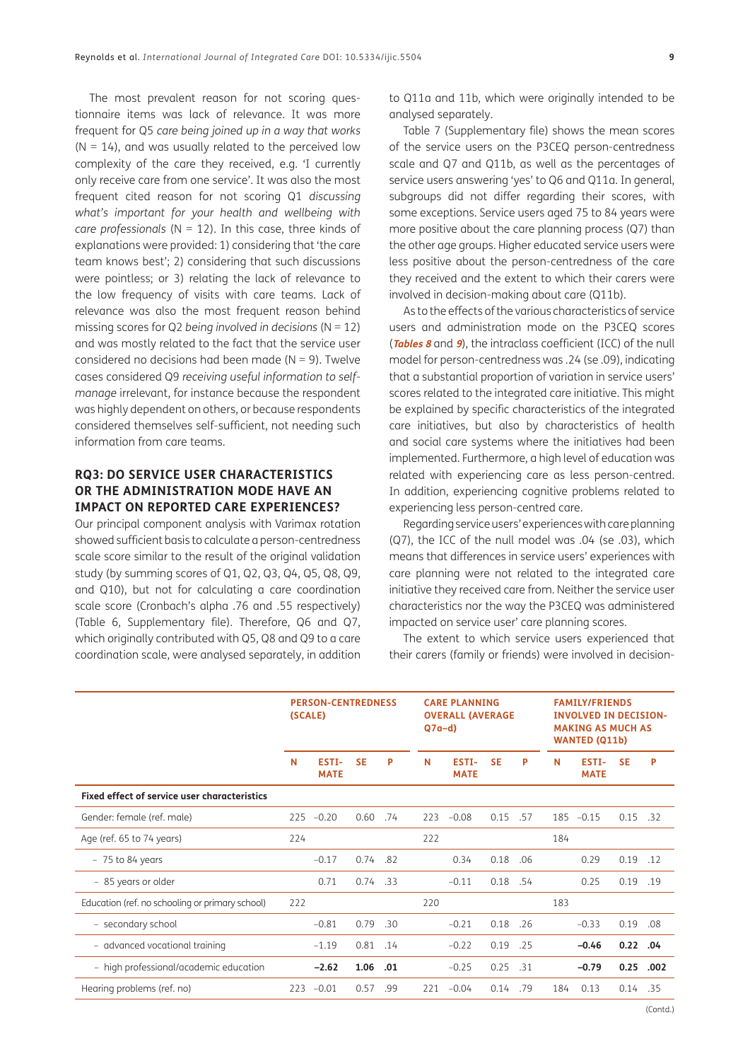The most prevalent reason for not scoring questionnaire items was lack of relevance. It was more frequent for Q5 *care being joined up in a way that works*  $(N = 14)$ , and was usually related to the perceived low complexity of the care they received, e.g. 'I currently only receive care from one service'. It was also the most frequent cited reason for not scoring Q1 *discussing what's important for your health and wellbeing with care professionals* (N = 12). In this case, three kinds of explanations were provided: 1) considering that 'the care team knows best'; 2) considering that such discussions were pointless; or 3) relating the lack of relevance to the low frequency of visits with care teams. Lack of relevance was also the most frequent reason behind missing scores for Q2 *being involved in decisions* (N = 12) and was mostly related to the fact that the service user considered no decisions had been made ( $N = 9$ ). Twelve cases considered Q9 *receiving useful information to selfmanage* irrelevant, for instance because the respondent was highly dependent on others, or because respondents considered themselves self-sufficient, not needing such information from care teams.

# **RQ3: DO SERVICE USER CHARACTERISTICS OR THE ADMINISTRATION MODE HAVE AN IMPACT ON REPORTED CARE EXPERIENCES?**

Our principal component analysis with Varimax rotation showed sufficient basis to calculate a person-centredness scale score similar to the result of the original validation study (by summing scores of Q1, Q2, Q3, Q4, Q5, Q8, Q9, and Q10), but not for calculating a care coordination scale score (Cronbach's alpha .76 and .55 respectively) (Table 6, Supplementary file). Therefore, Q6 and Q7, which originally contributed with Q5, Q8 and Q9 to a care coordination scale, were analysed separately, in addition

to Q11a and 11b, which were originally intended to be analysed separately.

Table 7 (Supplementary file) shows the mean scores of the service users on the P3CEQ person-centredness scale and Q7 and Q11b, as well as the percentages of service users answering 'yes' to Q6 and Q11a. In general, subgroups did not differ regarding their scores, with some exceptions. Service users aged 75 to 84 years were more positive about the care planning process (Q7) than the other age groups. Higher educated service users were less positive about the person-centredness of the care they received and the extent to which their carers were involved in decision-making about care (Q11b).

As to the effects of the various characteristics of service users and administration mode on the P3CEQ scores (**[Tables 8](#page-9-0)** and **[9](#page-9-1)**), the intraclass coefficient (ICC) of the null model for person-centredness was .24 (se .09), indicating that a substantial proportion of variation in service users' scores related to the integrated care initiative. This might be explained by specific characteristics of the integrated care initiatives, but also by characteristics of health and social care systems where the initiatives had been implemented. Furthermore, a high level of education was related with experiencing care as less person-centred. In addition, experiencing cognitive problems related to experiencing less person-centred care.

Regarding service users' experiences with care planning (Q7), the ICC of the null model was .04 (se .03), which means that differences in service users' experiences with care planning were not related to the integrated care initiative they received care from. Neither the service user characteristics nor the way the P3CEQ was administered impacted on service user' care planning scores.

The extent to which service users experienced that their carers (family or friends) were involved in decision-

|                                                     | <b>PERSON-CENTREDNESS</b><br>(SCALE) |                      |           | <b>CARE PLANNING</b><br><b>OVERALL (AVERAGE</b><br>$Q7a-d$ |     |                      | <b>FAMILY/FRIENDS</b><br><b>INVOLVED IN DECISION-</b><br><b>MAKING AS MUCH AS</b><br><b>WANTED (Q11b)</b> |     |     |                      |           |      |
|-----------------------------------------------------|--------------------------------------|----------------------|-----------|------------------------------------------------------------|-----|----------------------|-----------------------------------------------------------------------------------------------------------|-----|-----|----------------------|-----------|------|
|                                                     | N                                    | ESTI-<br><b>MATE</b> | <b>SE</b> | P                                                          | N   | ESTI-<br><b>MATE</b> | <b>SE</b>                                                                                                 | P   | N   | ESTI-<br><b>MATE</b> | <b>SE</b> | P    |
| <b>Fixed effect of service user characteristics</b> |                                      |                      |           |                                                            |     |                      |                                                                                                           |     |     |                      |           |      |
| Gender: female (ref. male)                          | 225                                  | $-0.20$              | 0.60      | .74                                                        | 223 | $-0.08$              | 0.15                                                                                                      | .57 | 185 | $-0.15$              | 0.15      | .32  |
| Age (ref. 65 to 74 years)                           | 224                                  |                      |           |                                                            | 222 |                      |                                                                                                           |     | 184 |                      |           |      |
| $-75$ to 84 years                                   |                                      | $-0.17$              | 0.74      | .82                                                        |     | 0.34                 | 0.18                                                                                                      | .06 |     | 0.29                 | 0.19      | .12  |
| - 85 years or older                                 |                                      | 0.71                 | 0.74      | .33                                                        |     | $-0.11$              | 0.18                                                                                                      | .54 |     | 0.25                 | 0.19      | .19  |
| Education (ref. no schooling or primary school)     | 222                                  |                      |           |                                                            | 220 |                      |                                                                                                           |     | 183 |                      |           |      |
| - secondary school                                  |                                      | $-0.81$              | 0.79      | .30                                                        |     | $-0.21$              | 0.18                                                                                                      | .26 |     | $-0.33$              | 0.19      | .08  |
| - advanced vocational training                      |                                      | $-1.19$              | 0.81      | .14                                                        |     | $-0.22$              | 0.19                                                                                                      | .25 |     | $-0.46$              | 0.22      | .04  |
| - high professional/academic education              |                                      | $-2.62$              | 1.06      | .01                                                        |     | $-0.25$              | 0.25                                                                                                      | .31 |     | $-0.79$              | 0.25      | .002 |
| Hearing problems (ref. no)                          | 223                                  | $-0.01$              | 0.57      | .99                                                        | 221 | $-0.04$              | 0.14                                                                                                      | .79 | 184 | 0.13                 | 0.14      | .35  |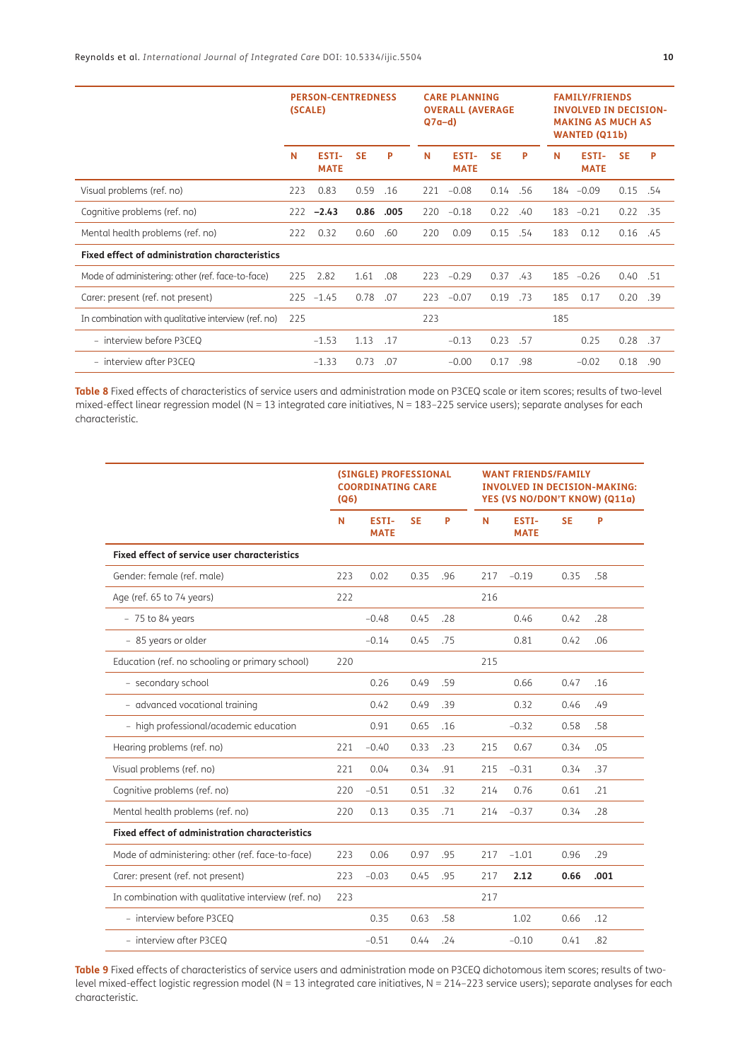|                                                       | <b>PERSON-CENTREDNESS</b><br>(SCALE) |                      |           | <b>CARE PLANNING</b><br><b>OVERALL (AVERAGE</b><br>$Q7a-d$ |     |                             |           | <b>FAMILY/FRIENDS</b><br><b>INVOLVED IN DECISION-</b><br><b>MAKING AS MUCH AS</b><br><b>WANTED (Q11b)</b> |     |                      |           |     |
|-------------------------------------------------------|--------------------------------------|----------------------|-----------|------------------------------------------------------------|-----|-----------------------------|-----------|-----------------------------------------------------------------------------------------------------------|-----|----------------------|-----------|-----|
|                                                       | N                                    | ESTI-<br><b>MATE</b> | <b>SE</b> | P                                                          | N   | <b>ESTI-</b><br><b>MATE</b> | <b>SE</b> | P                                                                                                         | N   | ESTI-<br><b>MATE</b> | <b>SE</b> | P   |
| Visual problems (ref. no)                             | 223                                  | 0.83                 | 0.59      | .16                                                        | 221 | $-0.08$                     | 0.14      | .56                                                                                                       |     | 184 - 0.09           | 0.15      | .54 |
| Cognitive problems (ref. no)                          | 222                                  | $-2.43$              | 0.86      | .005                                                       | 220 | $-0.18$                     | 0.22      | .40                                                                                                       | 183 | $-0.21$              | 0.22      | .35 |
| Mental health problems (ref. no)                      | 222                                  | 0.32                 | 0.60      | .60                                                        | 220 | 0.09                        | 0.15      | .54                                                                                                       | 183 | 0.12                 | 0.16      | .45 |
| <b>Fixed effect of administration characteristics</b> |                                      |                      |           |                                                            |     |                             |           |                                                                                                           |     |                      |           |     |
| Mode of administering: other (ref. face-to-face)      | 225                                  | 2.82                 | 1.61      | .08                                                        | 223 | $-0.29$                     | 0.37      | .43                                                                                                       | 185 | $-0.26$              | 0.40      | .51 |
| Carer: present (ref. not present)                     | 225                                  | $-1.45$              | 0.78      | .07                                                        | 223 | $-0.07$                     | 0.19      | .73                                                                                                       | 185 | 0.17                 | 0.20      | .39 |
| In combination with qualitative interview (ref. no)   | 225                                  |                      |           |                                                            | 223 |                             |           |                                                                                                           | 185 |                      |           |     |
| - interview before P3CEQ                              |                                      | $-1.53$              | 1.13      | .17                                                        |     | $-0.13$                     | 0.23      | .57                                                                                                       |     | 0.25                 | 0.28      | .37 |
| - interview after P3CEQ                               |                                      | $-1.33$              | 0.73      | .07                                                        |     | $-0.00$                     | 0.17      | .98                                                                                                       |     | $-0.02$              | 0.18      | .90 |

<span id="page-9-0"></span>**Table 8** Fixed effects of characteristics of service users and administration mode on P3CEQ scale or item scores; results of two-level mixed-effect linear regression model (N = 13 integrated care initiatives, N = 183–225 service users); separate analyses for each characteristic.

|                                                       | (SINGLE) PROFESSIONAL<br><b>COORDINATING CARE</b><br>(Q6) |                      |           |     |     | <b>WANT FRIENDS/FAMILY</b><br><b>INVOLVED IN DECISION-MAKING:</b><br>YES (VS NO/DON'T KNOW) (Q11a) |           |      |  |  |
|-------------------------------------------------------|-----------------------------------------------------------|----------------------|-----------|-----|-----|----------------------------------------------------------------------------------------------------|-----------|------|--|--|
|                                                       | N                                                         | ESTI-<br><b>MATE</b> | <b>SE</b> | P   | N   | ESTI-<br><b>MATE</b>                                                                               | <b>SE</b> | P    |  |  |
| <b>Fixed effect of service user characteristics</b>   |                                                           |                      |           |     |     |                                                                                                    |           |      |  |  |
| Gender: female (ref. male)                            | 223                                                       | 0.02                 | 0.35      | .96 | 217 | $-0.19$                                                                                            | 0.35      | .58  |  |  |
| Age (ref. 65 to 74 years)                             | 222                                                       |                      |           |     | 216 |                                                                                                    |           |      |  |  |
| $-75$ to 84 years                                     |                                                           | $-0.48$              | 0.45      | .28 |     | 0.46                                                                                               | 0.42      | .28  |  |  |
| - 85 years or older                                   |                                                           | $-0.14$              | 0.45      | .75 |     | 0.81                                                                                               | 0.42      | .06  |  |  |
| Education (ref. no schooling or primary school)       | 220                                                       |                      |           |     | 215 |                                                                                                    |           |      |  |  |
| - secondary school                                    |                                                           | 0.26                 | 0.49      | .59 |     | 0.66                                                                                               | 0.47      | .16  |  |  |
| - advanced vocational training                        |                                                           | 0.42                 | 0.49      | .39 |     | 0.32                                                                                               | 0.46      | .49  |  |  |
| - high professional/academic education                |                                                           | 0.91                 | 0.65      | .16 |     | $-0.32$                                                                                            | 0.58      | .58  |  |  |
| Hearing problems (ref. no)                            | 221                                                       | $-0.40$              | 0.33      | .23 | 215 | 0.67                                                                                               | 0.34      | .05  |  |  |
| Visual problems (ref. no)                             | 221                                                       | 0.04                 | 0.34      | .91 | 215 | $-0.31$                                                                                            | 0.34      | .37  |  |  |
| Cognitive problems (ref. no)                          | 220                                                       | $-0.51$              | 0.51      | .32 | 214 | 0.76                                                                                               | 0.61      | .21  |  |  |
| Mental health problems (ref. no)                      | 220                                                       | 0.13                 | 0.35      | .71 | 214 | $-0.37$                                                                                            | 0.34      | .28  |  |  |
| <b>Fixed effect of administration characteristics</b> |                                                           |                      |           |     |     |                                                                                                    |           |      |  |  |
| Mode of administering: other (ref. face-to-face)      | 223                                                       | 0.06                 | 0.97      | .95 | 217 | $-1.01$                                                                                            | 0.96      | .29  |  |  |
| Carer: present (ref. not present)                     | 223                                                       | $-0.03$              | 0.45      | .95 | 217 | 2.12                                                                                               | 0.66      | .001 |  |  |
| In combination with qualitative interview (ref. no)   | 223                                                       |                      |           |     | 217 |                                                                                                    |           |      |  |  |
| - interview before P3CEQ                              |                                                           | 0.35                 | 0.63      | .58 |     | 1.02                                                                                               | 0.66      | .12  |  |  |
| - interview after P3CEQ                               |                                                           | $-0.51$              | 0.44      | .24 |     | $-0.10$                                                                                            | 0.41      | .82  |  |  |

<span id="page-9-1"></span>**Table 9** Fixed effects of characteristics of service users and administration mode on P3CEQ dichotomous item scores; results of twolevel mixed-effect logistic regression model (N = 13 integrated care initiatives, N = 214-223 service users); separate analyses for each characteristic.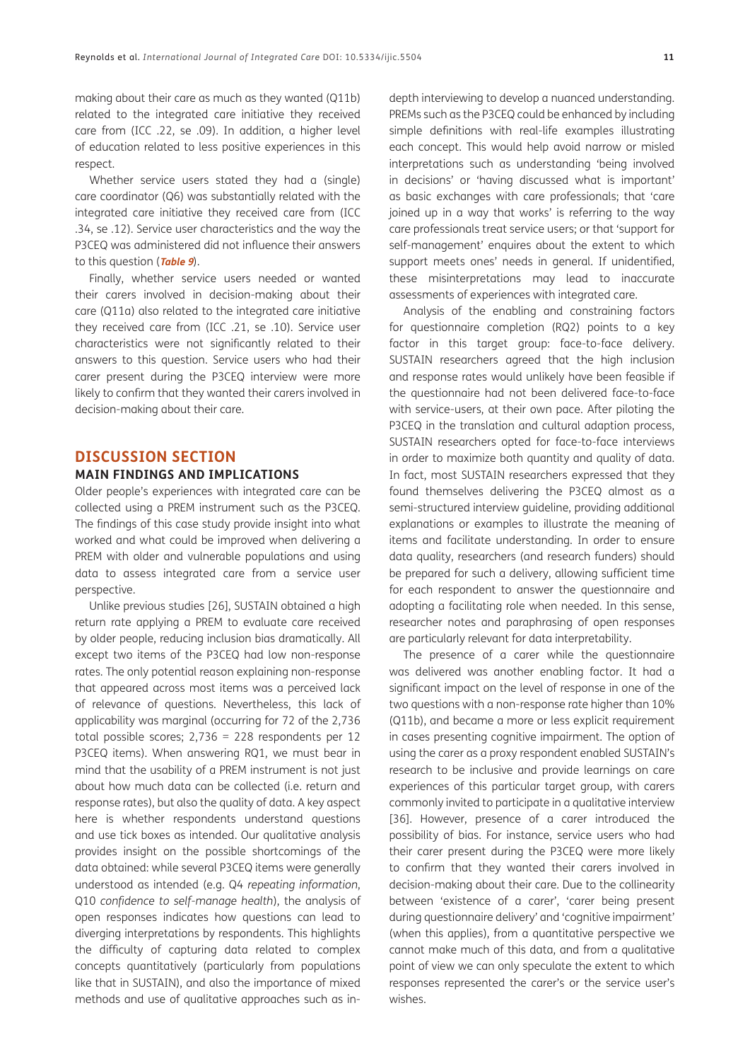making about their care as much as they wanted (Q11b) related to the integrated care initiative they received care from (ICC .22, se .09). In addition, a higher level of education related to less positive experiences in this respect.

Whether service users stated they had a (single) care coordinator (Q6) was substantially related with the integrated care initiative they received care from (ICC .34, se .12). Service user characteristics and the way the P3CEQ was administered did not influence their answers to this question (**[Table 9](#page-9-1)**).

Finally, whether service users needed or wanted their carers involved in decision-making about their care (Q11a) also related to the integrated care initiative they received care from (ICC .21, se .10). Service user characteristics were not significantly related to their answers to this question. Service users who had their carer present during the P3CEQ interview were more likely to confirm that they wanted their carers involved in decision-making about their care.

### **DISCUSSION SECTION MAIN FINDINGS AND IMPLICATIONS**

Older people's experiences with integrated care can be collected using a PREM instrument such as the P3CEQ. The findings of this case study provide insight into what worked and what could be improved when delivering a PREM with older and vulnerable populations and using data to assess integrated care from a service user perspective.

Unlike previous studies [26], SUSTAIN obtained a high return rate applying a PREM to evaluate care received by older people, reducing inclusion bias dramatically. All except two items of the P3CEQ had low non-response rates. The only potential reason explaining non-response that appeared across most items was a perceived lack of relevance of questions. Nevertheless, this lack of applicability was marginal (occurring for 72 of the 2,736 total possible scores;  $2,736 = 228$  respondents per 12 P3CEQ items). When answering RQ1, we must bear in mind that the usability of a PREM instrument is not just about how much data can be collected (i.e. return and response rates), but also the quality of data. A key aspect here is whether respondents understand questions and use tick boxes as intended. Our qualitative analysis provides insight on the possible shortcomings of the data obtained: while several P3CEQ items were generally understood as intended (e.g. Q4 *repeating information*, Q10 *confidence to self-manage health*), the analysis of open responses indicates how questions can lead to diverging interpretations by respondents. This highlights the difficulty of capturing data related to complex concepts quantitatively (particularly from populations like that in SUSTAIN), and also the importance of mixed methods and use of qualitative approaches such as in-

depth interviewing to develop a nuanced understanding. PREMs such as the P3CEQ could be enhanced by including simple definitions with real-life examples illustrating each concept. This would help avoid narrow or misled interpretations such as understanding 'being involved in decisions' or 'having discussed what is important' as basic exchanges with care professionals; that 'care joined up in a way that works' is referring to the way care professionals treat service users; or that 'support for self-management' enquires about the extent to which support meets ones' needs in general. If unidentified, these misinterpretations may lead to inaccurate assessments of experiences with integrated care.

Analysis of the enabling and constraining factors for questionnaire completion (RQ2) points to a key factor in this target group: face-to-face delivery. SUSTAIN researchers agreed that the high inclusion and response rates would unlikely have been feasible if the questionnaire had not been delivered face-to-face with service-users, at their own pace. After piloting the P3CEQ in the translation and cultural adaption process, SUSTAIN researchers opted for face-to-face interviews in order to maximize both quantity and quality of data. In fact, most SUSTAIN researchers expressed that they found themselves delivering the P3CEQ almost as a semi-structured interview guideline, providing additional explanations or examples to illustrate the meaning of items and facilitate understanding. In order to ensure data quality, researchers (and research funders) should be prepared for such a delivery, allowing sufficient time for each respondent to answer the questionnaire and adopting a facilitating role when needed. In this sense, researcher notes and paraphrasing of open responses are particularly relevant for data interpretability.

The presence of a carer while the questionnaire was delivered was another enabling factor. It had a significant impact on the level of response in one of the two questions with a non-response rate higher than 10% (Q11b), and became a more or less explicit requirement in cases presenting cognitive impairment. The option of using the carer as a proxy respondent enabled SUSTAIN's research to be inclusive and provide learnings on care experiences of this particular target group, with carers commonly invited to participate in a qualitative interview [36]. However, presence of a carer introduced the possibility of bias. For instance, service users who had their carer present during the P3CEQ were more likely to confirm that they wanted their carers involved in decision-making about their care. Due to the collinearity between 'existence of a carer', 'carer being present during questionnaire delivery' and 'cognitive impairment' (when this applies), from a quantitative perspective we cannot make much of this data, and from a qualitative point of view we can only speculate the extent to which responses represented the carer's or the service user's wishes.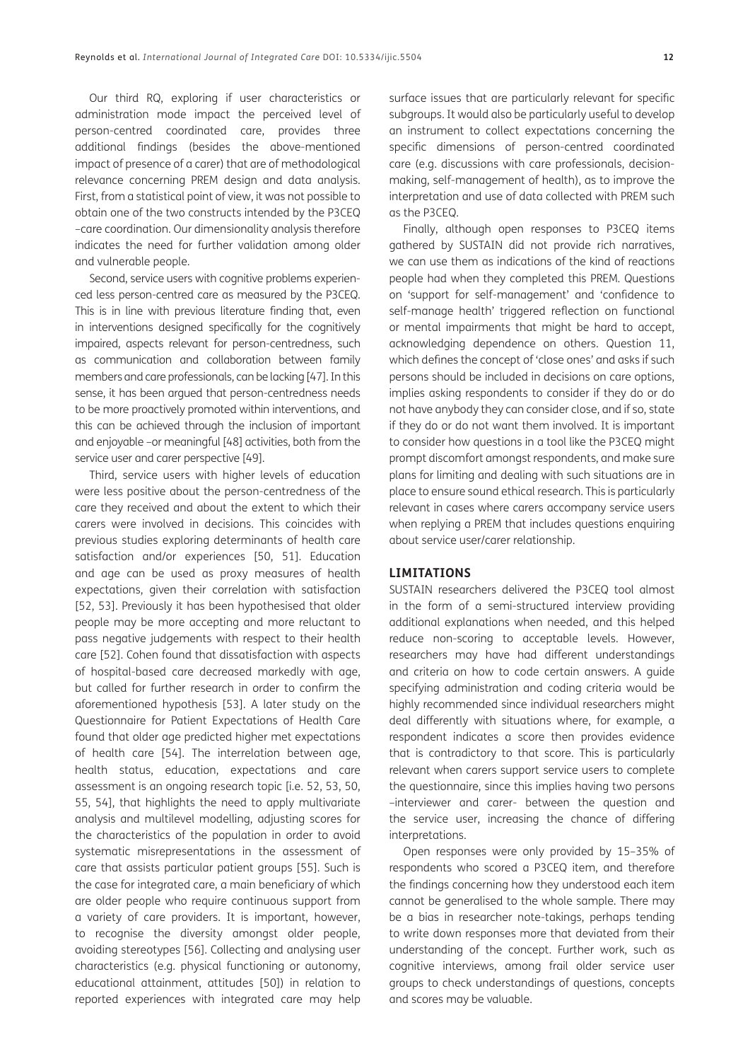Our third RQ, exploring if user characteristics or administration mode impact the perceived level of person-centred coordinated care, provides three additional findings (besides the above-mentioned impact of presence of a carer) that are of methodological relevance concerning PREM design and data analysis. First, from a statistical point of view, it was not possible to obtain one of the two constructs intended by the P3CEQ –care coordination. Our dimensionality analysis therefore indicates the need for further validation among older and vulnerable people.

Second, service users with cognitive problems experienced less person-centred care as measured by the P3CEQ. This is in line with previous literature finding that, even in interventions designed specifically for the cognitively impaired, aspects relevant for person-centredness, such as communication and collaboration between family members and care professionals, can be lacking [47]. In this sense, it has been argued that person-centredness needs to be more proactively promoted within interventions, and this can be achieved through the inclusion of important and enjoyable –or meaningful [48] activities, both from the service user and carer perspective [49].

Third, service users with higher levels of education were less positive about the person-centredness of the care they received and about the extent to which their carers were involved in decisions. This coincides with previous studies exploring determinants of health care satisfaction and/or experiences [50, 51]. Education and age can be used as proxy measures of health expectations, given their correlation with satisfaction [52, 53]. Previously it has been hypothesised that older people may be more accepting and more reluctant to pass negative judgements with respect to their health care [52]. Cohen found that dissatisfaction with aspects of hospital-based care decreased markedly with age, but called for further research in order to confirm the aforementioned hypothesis [53]. A later study on the Questionnaire for Patient Expectations of Health Care found that older age predicted higher met expectations of health care [54]. The interrelation between age, health status, education, expectations and care assessment is an ongoing research topic [i.e. 52, 53, 50, 55, 54], that highlights the need to apply multivariate analysis and multilevel modelling, adjusting scores for the characteristics of the population in order to avoid systematic misrepresentations in the assessment of care that assists particular patient groups [55]. Such is the case for integrated care, a main beneficiary of which are older people who require continuous support from a variety of care providers. It is important, however, to recognise the diversity amongst older people, avoiding stereotypes [56]. Collecting and analysing user characteristics (e.g. physical functioning or autonomy, educational attainment, attitudes [50]) in relation to reported experiences with integrated care may help

surface issues that are particularly relevant for specific subgroups. It would also be particularly useful to develop an instrument to collect expectations concerning the specific dimensions of person-centred coordinated care (e.g. discussions with care professionals, decisionmaking, self-management of health), as to improve the interpretation and use of data collected with PREM such as the P3CEQ.

Finally, although open responses to P3CEQ items gathered by SUSTAIN did not provide rich narratives, we can use them as indications of the kind of reactions people had when they completed this PREM. Questions on 'support for self-management' and 'confidence to self-manage health' triggered reflection on functional or mental impairments that might be hard to accept, acknowledging dependence on others. Question 11, which defines the concept of 'close ones' and asks if such persons should be included in decisions on care options, implies asking respondents to consider if they do or do not have anybody they can consider close, and if so, state if they do or do not want them involved. It is important to consider how questions in a tool like the P3CEQ might prompt discomfort amongst respondents, and make sure plans for limiting and dealing with such situations are in place to ensure sound ethical research. This is particularly relevant in cases where carers accompany service users when replying a PREM that includes questions enquiring about service user/carer relationship.

#### **LIMITATIONS**

SUSTAIN researchers delivered the P3CEQ tool almost in the form of a semi-structured interview providing additional explanations when needed, and this helped reduce non-scoring to acceptable levels. However, researchers may have had different understandings and criteria on how to code certain answers. A guide specifying administration and coding criteria would be highly recommended since individual researchers might deal differently with situations where, for example, a respondent indicates a score then provides evidence that is contradictory to that score. This is particularly relevant when carers support service users to complete the questionnaire, since this implies having two persons –interviewer and carer- between the question and the service user, increasing the chance of differing interpretations.

Open responses were only provided by 15–35% of respondents who scored a P3CEQ item, and therefore the findings concerning how they understood each item cannot be generalised to the whole sample. There may be a bias in researcher note-takings, perhaps tending to write down responses more that deviated from their understanding of the concept. Further work, such as cognitive interviews, among frail older service user groups to check understandings of questions, concepts and scores may be valuable.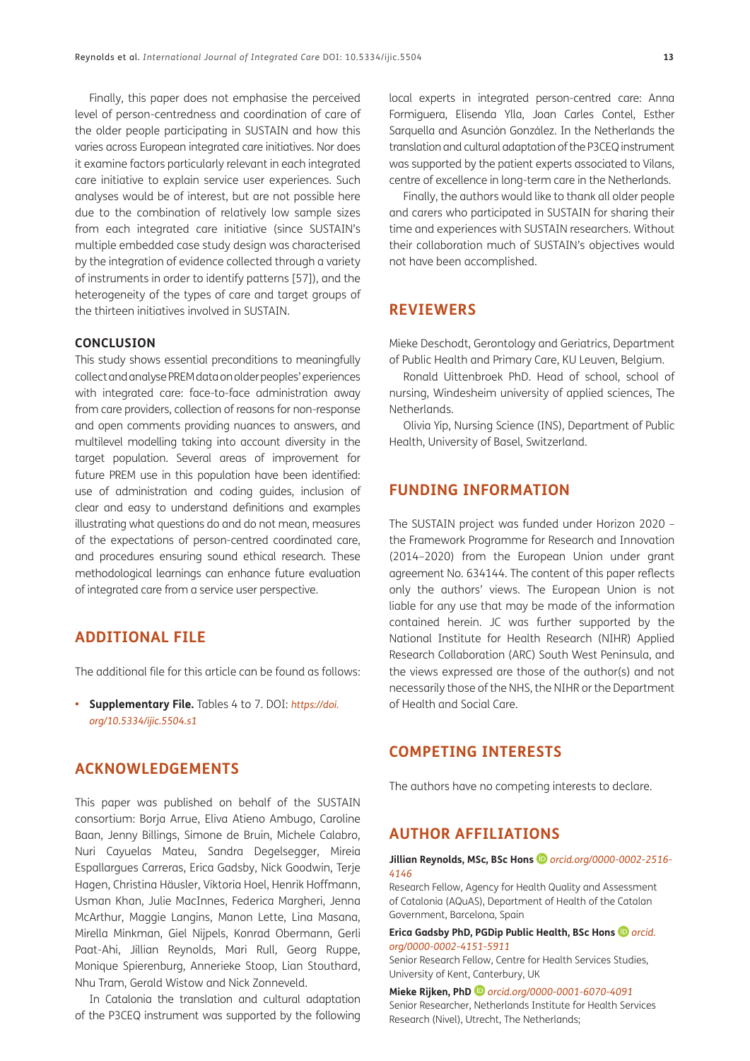Finally, this paper does not emphasise the perceived level of person-centredness and coordination of care of the older people participating in SUSTAIN and how this varies across European integrated care initiatives. Nor does it examine factors particularly relevant in each integrated care initiative to explain service user experiences. Such analyses would be of interest, but are not possible here due to the combination of relatively low sample sizes from each integrated care initiative (since SUSTAIN's multiple embedded case study design was characterised by the integration of evidence collected through a variety of instruments in order to identify patterns [57]), and the heterogeneity of the types of care and target groups of the thirteen initiatives involved in SUSTAIN.

#### **CONCLUSION**

This study shows essential preconditions to meaningfully collect and analyse PREM data on older peoples' experiences with integrated care: face-to-face administration away from care providers, collection of reasons for non-response and open comments providing nuances to answers, and multilevel modelling taking into account diversity in the target population. Several areas of improvement for future PREM use in this population have been identified: use of administration and coding guides, inclusion of clear and easy to understand definitions and examples illustrating what questions do and do not mean, measures of the expectations of person-centred coordinated care, and procedures ensuring sound ethical research. These methodological learnings can enhance future evaluation of integrated care from a service user perspective.

### **ADDITIONAL FILE**

The additional file for this article can be found as follows:

**• Supplementary File.** Tables 4 to 7. DOI: *[https://doi.](https://doi.org/10.5334/ijic.5504.s1) [org/10.5334/ijic.5504.s1](https://doi.org/10.5334/ijic.5504.s1)*

# **ACKNOWLEDGEMENTS**

This paper was published on behalf of the SUSTAIN consortium: Borja Arrue, Eliva Atieno Ambugo, Caroline Baan, Jenny Billings, Simone de Bruin, Michele Calabro, Nuri Cayuelas Mateu, Sandra Degelsegger, Mireia Espallargues Carreras, Erica Gadsby, Nick Goodwin, Terje Hagen, Christina Häusler, Viktoria Hoel, Henrik Hoffmann, Usman Khan, Julie MacInnes, Federica Margheri, Jenna McArthur, Maggie Langins, Manon Lette, Lina Masana, Mirella Minkman, Giel Nijpels, Konrad Obermann, Gerli Paat-Ahi, Jillian Reynolds, Mari Rull, Georg Ruppe, Monique Spierenburg, Annerieke Stoop, Lian Stouthard, Nhu Tram, Gerald Wistow and Nick Zonneveld.

In Catalonia the translation and cultural adaptation of the P3CEQ instrument was supported by the following

local experts in integrated person-centred care: Anna Formiguera, Elisenda Ylla, Joan Carles Contel, Esther Sarquella and Asunción González. In the Netherlands the translation and cultural adaptation of the P3CEQ instrument was supported by the patient experts associated to Vilans, centre of excellence in long-term care in the Netherlands.

Finally, the authors would like to thank all older people and carers who participated in SUSTAIN for sharing their time and experiences with SUSTAIN researchers. Without their collaboration much of SUSTAIN's objectives would not have been accomplished.

# **REVIEWERS**

Mieke Deschodt, Gerontology and Geriatrics, Department of Public Health and Primary Care, KU Leuven, Belgium.

Ronald Uittenbroek PhD. Head of school, school of nursing, Windesheim university of applied sciences, The Netherlands.

Olivia Yip, Nursing Science (INS), Department of Public Health, University of Basel, Switzerland.

# **FUNDING INFORMATION**

The SUSTAIN project was funded under Horizon 2020 – the Framework Programme for Research and Innovation (2014–2020) from the European Union under grant agreement No. 634144. The content of this paper reflects only the authors' views. The European Union is not liable for any use that may be made of the information contained herein. JC was further supported by the National Institute for Health Research (NIHR) Applied Research Collaboration (ARC) South West Peninsula, and the views expressed are those of the author(s) and not necessarily those of the NHS, the NIHR or the Department of Health and Social Care.

### **COMPETING INTERESTS**

The authors have no competing interests to declare.

# <span id="page-12-0"></span>**AUTHOR AFFILIATIONS**

#### **Jillian Reynolds, MSc, BSc Hons** *[orcid.org/0000-0002-2516-](https://orcid.org/0000-0002-2516-4146) [4146](https://orcid.org/0000-0002-2516-4146)*

Research Fellow, Agency for Health Quality and Assessment of Catalonia (AQuAS), Department of Health of the Catalan Government, Barcelona, Spain

#### **Erica Gadsby PhD, PGDip Public Health, BSc Hons** *[orcid.](https://orcid.org/0000-0002-4151-5911) [org/0000-0002-4151-5911](https://orcid.org/0000-0002-4151-5911)*

Senior Research Fellow, Centre for Health Services Studies, University of Kent, Canterbury, UK

**Mieke Rijken, PhD***[orcid.org/0000-0001-6070-4091](https://orcid.org/0000-0001-6070-4091)* Senior Researcher, Netherlands Institute for Health Services Research (Nivel), Utrecht, The Netherlands;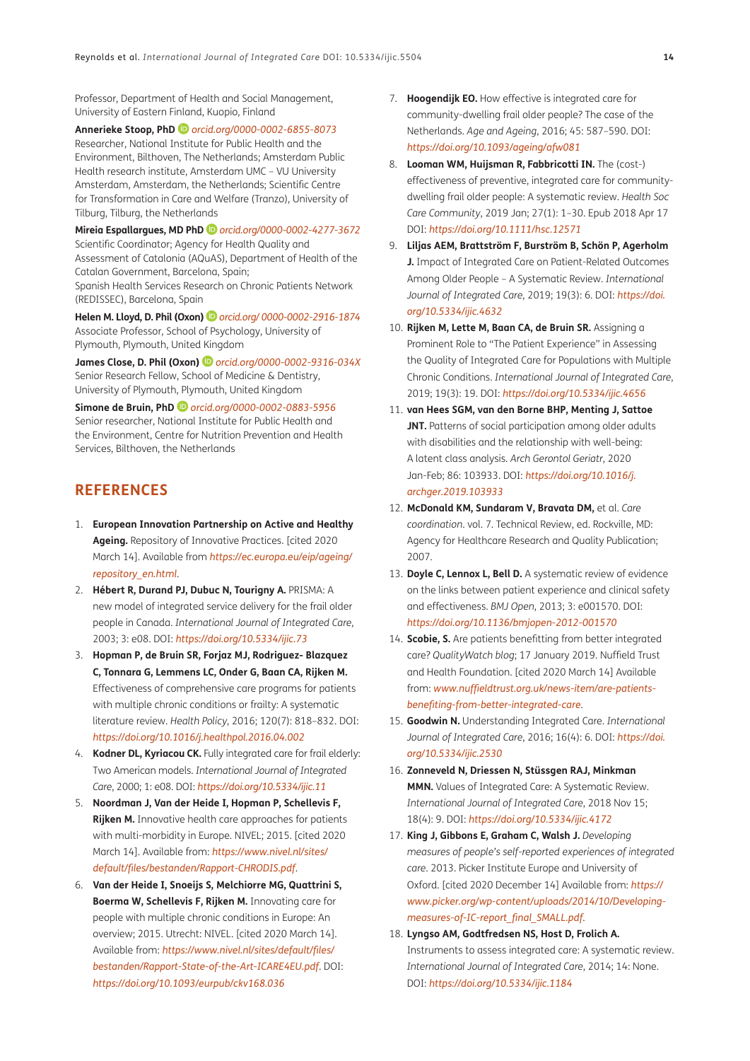Professor, Department of Health and Social Management, University of Eastern Finland, Kuopio, Finland

**Annerieke Stoop, PhD***[orcid.org/0000-0002-6855-8073](https://orcid.org/0000-0002-6855-8073)* Researcher, National Institute for Public Health and the Environment, Bilthoven, The Netherlands; Amsterdam Public Health research institute, Amsterdam UMC – VU University Amsterdam, Amsterdam, the Netherlands; Scientific Centre for Transformation in Care and Welfare (Tranzo), University of Tilburg, Tilburg, the Netherlands

**Mireia Espallargues, MD PhD** *[orcid.org/0000-0002-4277-3672](https://orcid.org/0000-0002-4277-3672)* Scientific Coordinator; Agency for Health Quality and

Assessment of Catalonia (AQuAS), Department of Health of the Catalan Government, Barcelona, Spain; Spanish Health Services Research on Chronic Patients Network (REDISSEC), Barcelona, Spain

**Helen M. Lloyd, D. Phil (Oxon)** *[orcid.org/ 0000-0002-2916-1874](https://orcid.org/ 0000-0002-2916-1874)* Associate Professor, School of Psychology, University of Plymouth, Plymouth, United Kingdom

**James Close, D. Phil (Oxon)***[orcid.org/0000-0002-9316-034X](https://orcid.org/0000-0002-9316-034X)* Senior Research Fellow, School of Medicine & Dentistry, University of Plymouth, Plymouth, United Kingdom

**Simone de Bruin, PhD** *[orcid.org/0000-0002-0883-5956](https://orcid.org/0000-0002-0883-5956)* Senior researcher, National Institute for Public Health and the Environment, Centre for Nutrition Prevention and Health Services, Bilthoven, the Netherlands

# **REFERENCES**

- 1. **European Innovation Partnership on Active and Healthy Ageing.** Repository of Innovative Practices. [cited 2020 March 14]. Available from *[https://ec.europa.eu/eip/ageing/](https://ec.europa.eu/eip/ageing/repository_en.html) [repository\\_en.html](https://ec.europa.eu/eip/ageing/repository_en.html)*.
- 2. **Hébert R, Durand PJ, Dubuc N, Tourigny A.** PRISMA: A new model of integrated service delivery for the frail older people in Canada. *International Journal of Integrated Care*, 2003; 3: e08. DOI: *<https://doi.org/10.5334/ijic.73>*
- 3. **Hopman P, de Bruin SR, Forjaz MJ, Rodriguez- Blazquez C, Tonnara G, Lemmens LC, Onder G, Baan CA, Rijken M.** Effectiveness of comprehensive care programs for patients with multiple chronic conditions or frailty: A systematic literature review. *Health Policy*, 2016; 120(7): 818–832. DOI: *<https://doi.org/10.1016/j.healthpol.2016.04.002>*
- 4. **Kodner DL, Kyriacou CK.** Fully integrated care for frail elderly: Two American models. *International Journal of Integrated Care*, 2000; 1: e08. DOI: *<https://doi.org/10.5334/ijic.11>*
- 5. **Noordman J, Van der Heide I, Hopman P, Schellevis F, Rijken M.** Innovative health care approaches for patients with multi-morbidity in Europe. NIVEL; 2015. [cited 2020 March 14]. Available from: *[https://www.nivel.nl/sites/](https://www.nivel.nl/sites/default/files/bestanden/Rapport-CHRODIS.pdf) [default/files/bestanden/Rapport-CHRODIS.pdf](https://www.nivel.nl/sites/default/files/bestanden/Rapport-CHRODIS.pdf)*.
- 6. **Van der Heide I, Snoeijs S, Melchiorre MG, Quattrini S, Boerma W, Schellevis F, Rijken M.** Innovating care for people with multiple chronic conditions in Europe: An overview; 2015. Utrecht: NIVEL. [cited 2020 March 14]. Available from: *[https://www.nivel.nl/sites/default/files/](https://www.nivel.nl/sites/default/files/bestanden/Rapport-State-of-the-Art-ICARE4EU.pdf) [bestanden/Rapport-State-of-the-Art-ICARE4EU.pdf](https://www.nivel.nl/sites/default/files/bestanden/Rapport-State-of-the-Art-ICARE4EU.pdf)*. DOI: *<https://doi.org/10.1093/eurpub/ckv168.036>*
- 7. **Hoogendijk EO.** How effective is integrated care for community-dwelling frail older people? The case of the Netherlands. *Age and Ageing*, 2016; 45: 587–590. DOI: *<https://doi.org/10.1093/ageing/afw081>*
- 8. **Looman WM, Huijsman R, Fabbricotti IN.** The (cost-) effectiveness of preventive, integrated care for communitydwelling frail older people: A systematic review. *Health Soc Care Community*, 2019 Jan; 27(1): 1–30. Epub 2018 Apr 17 DOI: *<https://doi.org/10.1111/hsc.12571>*
- 9. **Liljas AEM, Brattström F, Burström B, Schön P, Agerholm J.** Impact of Integrated Care on Patient-Related Outcomes Among Older People – A Systematic Review. *International Journal of Integrated Care*, 2019; 19(3): 6. DOI: *[https://doi.](https://doi.org/10.5334/ijic.4632) [org/10.5334/ijic.4632](https://doi.org/10.5334/ijic.4632)*
- 10. **Rijken M, Lette M, Baan CA, de Bruin SR.** Assigning a Prominent Role to "The Patient Experience" in Assessing the Quality of Integrated Care for Populations with Multiple Chronic Conditions. *International Journal of Integrated Care*, 2019; 19(3): 19. DOI: *<https://doi.org/10.5334/ijic.4656>*
- 11. **van Hees SGM, van den Borne BHP, Menting J, Sattoe JNT.** Patterns of social participation among older adults with disabilities and the relationship with well-being: A latent class analysis. *Arch Gerontol Geriatr*, 2020 Jan-Feb; 86: 103933. DOI: *[https://doi.org/10.1016/j.](https://doi.org/10.1016/j.archger.2019.103933) [archger.2019.103933](https://doi.org/10.1016/j.archger.2019.103933)*
- 12. **McDonald KM, Sundaram V, Bravata DM,** et al. *Care coordination*. vol. 7. Technical Review, ed. Rockville, MD: Agency for Healthcare Research and Quality Publication; 2007.
- 13. **Doyle C, Lennox L, Bell D.** A systematic review of evidence on the links between patient experience and clinical safety and effectiveness. *BMJ Open*, 2013; 3: e001570. DOI: *<https://doi.org/10.1136/bmjopen-2012-001570>*
- 14. **Scobie, S.** Are patients benefitting from better integrated care? *QualityWatch blog*; 17 January 2019. Nuffield Trust and Health Foundation. [cited 2020 March 14] Available from: *[www.nuffieldtrust.org.uk/news-item/are-patients](www.nuffieldtrust.org.uk/news-item/are-patients-benefiting-from-better-integrated-care)[benefiting-from-better-integrated-care](www.nuffieldtrust.org.uk/news-item/are-patients-benefiting-from-better-integrated-care)*.
- 15. **Goodwin N.** Understanding Integrated Care. *International Journal of Integrated Care*, 2016; 16(4): 6. DOI: *[https://doi.](https://doi.org/10.5334/ijic.2530) [org/10.5334/ijic.2530](https://doi.org/10.5334/ijic.2530)*
- 16. **Zonneveld N, Driessen N, Stüssgen RAJ, Minkman MMN.** Values of Integrated Care: A Systematic Review. *International Journal of Integrated Care*, 2018 Nov 15; 18(4): 9. DOI: *<https://doi.org/10.5334/ijic.4172>*
- 17. **King J, Gibbons E, Graham C, Walsh J.** *Developing measures of people's self-reported experiences of integrated care*. 2013. Picker Institute Europe and University of Oxford. [cited 2020 December 14] Available from: *[https://](https://www.picker.org/wp-content/uploads/2014/10/Developing-measures-of-IC-report_final_SMALL.pdf) [www.picker.org/wp-content/uploads/2014/10/Developing](https://www.picker.org/wp-content/uploads/2014/10/Developing-measures-of-IC-report_final_SMALL.pdf)[measures-of-IC-report\\_final\\_SMALL.pdf](https://www.picker.org/wp-content/uploads/2014/10/Developing-measures-of-IC-report_final_SMALL.pdf)*.
- 18. **Lyngso AM, Godtfredsen NS, Host D, Frolich A.** Instruments to assess integrated care: A systematic review. *International Journal of Integrated Care*, 2014; 14: None. DOI: *<https://doi.org/10.5334/ijic.1184>*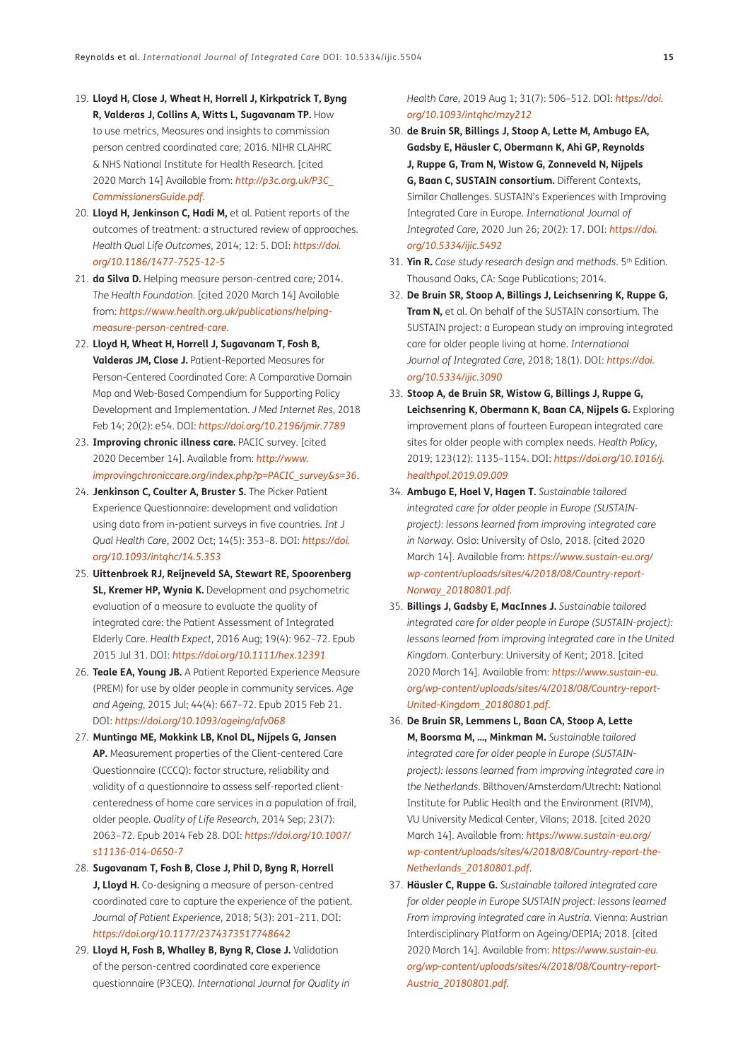- 19. **Lloyd H, Close J, Wheat H, Horrell J, Kirkpatrick T, Byng R, Valderas J, Collins A, Witts L, Sugavanam TP.** How to use metrics, Measures and insights to commission person centred coordinated care; 2016. NIHR CLAHRC & NHS National Institute for Health Research. [cited 2020 March 14] Available from: *[http://p3c.org.uk/P3C\\_](http://p3c.org.uk/P3C_CommissionersGuide.pdf) [CommissionersGuide.pdf](http://p3c.org.uk/P3C_CommissionersGuide.pdf)*.
- 20. **Lloyd H, Jenkinson C, Hadi M,** et al. Patient reports of the outcomes of treatment: a structured review of approaches. *Health Qual Life Outcomes*, 2014; 12: 5. DOI: *[https://doi.](https://doi.org/10.1186/1477-7525-12-5) [org/10.1186/1477-7525-12-5](https://doi.org/10.1186/1477-7525-12-5)*
- 21. **da Silva D.** Helping measure person-centred care*;* 2014. *The Health Foundation*. [cited 2020 March 14] Available from: *[https://www.health.org.uk/publications/helping](https://www.health.org.uk/publications/helping-measure-person-centred-care)[measure-person-centred-care](https://www.health.org.uk/publications/helping-measure-person-centred-care)*.
- 22. **Lloyd H, Wheat H, Horrell J, Sugavanam T, Fosh B, Valderas JM, Close J.** Patient-Reported Measures for Person-Centered Coordinated Care: A Comparative Domain Map and Web-Based Compendium for Supporting Policy Development and Implementation. *J Med Internet Res*, 2018 Feb 14; 20(2): e54. DOI: *<https://doi.org/10.2196/jmir.7789>*
- 23. **Improving chronic illness care.** PACIC survey. [cited 2020 December 14]. Available from: *[http://www.](http://www.improvingchroniccare.org/index.php?p=PACIC_survey&s=36) [improvingchroniccare.org/index.php?p=PACIC\\_survey&s=36](http://www.improvingchroniccare.org/index.php?p=PACIC_survey&s=36)*.
- 24. **Jenkinson C, Coulter A, Bruster S.** The Picker Patient Experience Questionnaire: development and validation using data from in-patient surveys in five countries*. Int J Qual Health Care*, 2002 Oct; 14(5): 353–8. DOI: *[https://doi.](https://doi.org/10.1093/intqhc/14.5.353) [org/10.1093/intqhc/14.5.353](https://doi.org/10.1093/intqhc/14.5.353)*
- 25. **Uittenbroek RJ, Reijneveld SA, Stewart RE, Spoorenberg SL, Kremer HP, Wynia K.** Development and psychometric evaluation of a measure to evaluate the quality of integrated care: the Patient Assessment of Integrated Elderly Care. *Health Expect*, 2016 Aug; 19(4): 962–72. Epub 2015 Jul 31. DOI: *<https://doi.org/10.1111/hex.12391>*
- 26. **Teale EA, Young JB.** A Patient Reported Experience Measure (PREM) for use by older people in community services. *Age and Ageing*, 2015 Jul; 44(4): 667–72. Epub 2015 Feb 21. DOI: *<https://doi.org/10.1093/ageing/afv068>*
- 27. **Muntinga ME, Mokkink LB, Knol DL, Nijpels G, Jansen AP.** Measurement properties of the Client-centered Care Questionnaire (CCCQ): factor structure, reliability and validity of a questionnaire to assess self-reported clientcenteredness of home care services in a population of frail, older people. *Quality of Life Research*, 2014 Sep; 23(7): 2063–72. Epub 2014 Feb 28. DOI: *[https://doi.org/10.1007/](https://doi.org/10.1007/s11136-014-0650-7) [s11136-014-0650-7](https://doi.org/10.1007/s11136-014-0650-7)*
- 28. **Sugavanam T, Fosh B, Close J, Phil D, Byng R, Horrell J, Lloyd H.** Co-designing a measure of person-centred coordinated care to capture the experience of the patient*. Journal of Patient Experience*, 2018; 5(3): 201–211. DOI: *<https://doi.org/10.1177/2374373517748642>*
- 29. **Lloyd H, Fosh B, Whalley B, Byng R, Close J.** Validation of the person-centred coordinated care experience questionnaire (P3CEQ). *International Journal for Quality in*

#### *Health Care*, 2019 Aug 1; 31(7): 506–512. DOI: *[https://doi.](https://doi.org/10.1093/intqhc/mzy212) [org/10.1093/intqhc/mzy212](https://doi.org/10.1093/intqhc/mzy212)*

- 30. **de Bruin SR, Billings J, Stoop A, Lette M, Ambugo EA, Gadsby E, Häusler C, Obermann K, Ahi GP, Reynolds J, Ruppe G, Tram N, Wistow G, Zonneveld N, Nijpels G, Baan C, SUSTAIN consortium.** Different Contexts, Similar Challenges. SUSTAIN's Experiences with Improving Integrated Care in Europe. *International Journal of Integrated Care*, 2020 Jun 26; 20(2): 17. DOI: *[https://doi.](https://doi.org/10.5334/ijic.5492) [org/10.5334/ijic.5492](https://doi.org/10.5334/ijic.5492)*
- 31. **Yin R.** *Case study research design and methods*. 5th Edition. Thousand Oaks, CA: Sage Publications; 2014.
- 32. **De Bruin SR, Stoop A, Billings J, Leichsenring K, Ruppe G, Tram N,** et al. On behalf of the SUSTAIN consortium. The SUSTAIN project: a European study on improving integrated care for older people living at home. *International Journal of Integrated Care*, 2018; 18(1). DOI: *[https://doi.](https://doi.org/10.5334/ijic.3090) [org/10.5334/ijic.3090](https://doi.org/10.5334/ijic.3090)*
- 33. **Stoop A, de Bruin SR, Wistow G, Billings J, Ruppe G, Leichsenring K, Obermann K, Baan CA, Nijpels G.** Exploring improvement plans of fourteen European integrated care sites for older people with complex needs. *Health Policy*, 2019; 123(12): 1135–1154. DOI: *[https://doi.org/10.1016/j.](https://doi.org/10.1016/j.healthpol.2019.09.009) [healthpol.2019.09.009](https://doi.org/10.1016/j.healthpol.2019.09.009)*
- 34. **Ambugo E, Hoel V, Hagen T.** *Sustainable tailored integrated care for older people in Europe (SUSTAINproject): lessons learned from improving integrated care in Norway*. Oslo: University of Oslo, 2018. [cited 2020 March 14]. Available from: *[https://www.sustain-eu.org/](https://www.sustain-eu.org/wp-content/uploads/sites/4/2018/08/Country-report-Norway_20180801.pdf) [wp-content/uploads/sites/4/2018/08/Country-report-](https://www.sustain-eu.org/wp-content/uploads/sites/4/2018/08/Country-report-Norway_20180801.pdf)[Norway\\_20180801.pdf](https://www.sustain-eu.org/wp-content/uploads/sites/4/2018/08/Country-report-Norway_20180801.pdf)*.
- 35. **Billings J, Gadsby E, MacInnes J.** *Sustainable tailored integrated care for older people in Europe (SUSTAIN-project): lessons learned from improving integrated care in the United Kingdom*. Canterbury: University of Kent; 2018. [cited 2020 March 14]. Available from: *[https://www.sustain-eu.](https://www.sustain-eu.org/wp-content/uploads/sites/4/2018/08/Country-report-United-Kingdom_20180801.pdf) [org/wp-content/uploads/sites/4/2018/08/Country-report-](https://www.sustain-eu.org/wp-content/uploads/sites/4/2018/08/Country-report-United-Kingdom_20180801.pdf)[United-Kingdom\\_20180801.pdf](https://www.sustain-eu.org/wp-content/uploads/sites/4/2018/08/Country-report-United-Kingdom_20180801.pdf)*.
- 36. **De Bruin SR, Lemmens L, Baan CA, Stoop A, Lette M, Boorsma M, …, Minkman M.** *Sustainable tailored integrated care for older people in Europe (SUSTAINproject): lessons learned from improving integrated care in the Netherlands*. Bilthoven/Amsterdam/Utrecht: National Institute for Public Health and the Environment (RIVM), VU University Medical Center, Vilans; 2018. [cited 2020 March 14]. Available from: *[https://www.sustain-eu.org/](https://www.sustain-eu.org/wp-content/uploads/sites/4/2018/08/Country-report-the-Netherlands_20180801.pdf) [wp-content/uploads/sites/4/2018/08/Country-report-the-](https://www.sustain-eu.org/wp-content/uploads/sites/4/2018/08/Country-report-the-Netherlands_20180801.pdf)[Netherlands\\_20180801.pdf](https://www.sustain-eu.org/wp-content/uploads/sites/4/2018/08/Country-report-the-Netherlands_20180801.pdf)*.
- 37. **Häusler C, Ruppe G.** *Sustainable tailored integrated care for older people in Europe SUSTAIN project: lessons learned From improving integrated care in Austria.* Vienna: Austrian Interdisciplinary Platform on Ageing/OEPIA; 2018. [cited 2020 March 14]. Available from: *[https://www.sustain-eu.](https://www.sustain-eu.org/wp-content/uploads/sites/4/2018/08/Country-report-Austria_20180801.pdf) [org/wp-content/uploads/sites/4/2018/08/Country-report-](https://www.sustain-eu.org/wp-content/uploads/sites/4/2018/08/Country-report-Austria_20180801.pdf)[Austria\\_20180801.pdf](https://www.sustain-eu.org/wp-content/uploads/sites/4/2018/08/Country-report-Austria_20180801.pdf)*.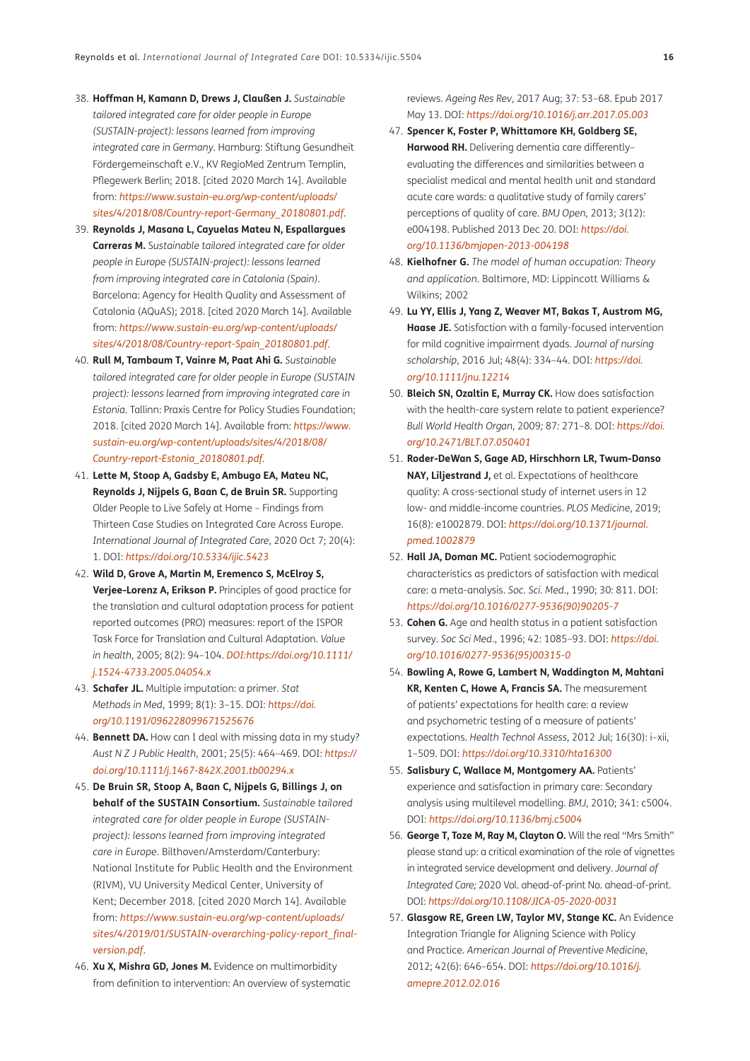- 38. **Hoffman H, Kamann D, Drews J, Claußen J.** *Sustainable tailored integrated care for older people in Europe (SUSTAIN-project): lessons learned from improving integrated care in Germany*. Hamburg: Stiftung Gesundheit Fördergemeinschaft e.V., KV RegioMed Zentrum Templin, Pflegewerk Berlin; 2018. [cited 2020 March 14]. Available from: *[https://www.sustain-eu.org/wp-content/uploads/](https://www.sustain-eu.org/wp-content/uploads/sites/4/2018/08/Country-report-Germany_20180801.pdf) [sites/4/2018/08/Country-report-Germany\\_20180801.pdf](https://www.sustain-eu.org/wp-content/uploads/sites/4/2018/08/Country-report-Germany_20180801.pdf)*.
- 39. **Reynolds J, Masana L, Cayuelas Mateu N, Espallargues Carreras M.** S*ustainable tailored integrated care for older people in Europe (SUSTAIN-project): lessons learned from improving integrated care in Catalonia (Spain)*. Barcelona: Agency for Health Quality and Assessment of Catalonia (AQuAS); 2018. [cited 2020 March 14]. Available from: *[https://www.sustain-eu.org/wp-content/uploads/](https://www.sustain-eu.org/wp-content/uploads/sites/4/2018/08/Country-report-Spain_20180801.pdf) [sites/4/2018/08/Country-report-Spain\\_20180801.pdf](https://www.sustain-eu.org/wp-content/uploads/sites/4/2018/08/Country-report-Spain_20180801.pdf)*.
- 40. **Rull M, Tambaum T, Vainre M, Paat Ahi G.** *Sustainable tailored integrated care for older people in Europe (SUSTAIN project): lessons learned from improving integrated care in Estonia*. Tallinn: Praxis Centre for Policy Studies Foundation; 2018. [cited 2020 March 14]. Available from: *[https://www.](https://www.sustain-eu.org/wp-content/uploads/sites/4/2018/08/Country-report-Estonia_20180801.pdf) [sustain-eu.org/wp-content/uploads/sites/4/2018/08/](https://www.sustain-eu.org/wp-content/uploads/sites/4/2018/08/Country-report-Estonia_20180801.pdf) [Country-report-Estonia\\_20180801.pdf](https://www.sustain-eu.org/wp-content/uploads/sites/4/2018/08/Country-report-Estonia_20180801.pdf)*.
- 41. **Lette M, Stoop A, Gadsby E, Ambugo EA, Mateu NC, Reynolds J, Nijpels G, Baan C, de Bruin SR.** Supporting Older People to Live Safely at Home – Findings from Thirteen Case Studies on Integrated Care Across Europe. *International Journal of Integrated Care*, 2020 Oct 7; 20(4): 1. DOI: *<https://doi.org/10.5334/ijic.5423>*
- 42. **Wild D, Grove A, Martin M, Eremenco S, McElroy S, Verjee-Lorenz A, Erikson P.** Principles of good practice for the translation and cultural adaptation process for patient reported outcomes (PRO) measures: report of the ISPOR Task Force for Translation and Cultural Adaptation. *Value in health*, 2005; 8(2): 94–104. *[DOI:https://doi.org/10.1111/](DOI:https://doi.org/10.1111/j.1524-4733.2005.04054.x) [j.1524-4733.2005.04054.x](DOI:https://doi.org/10.1111/j.1524-4733.2005.04054.x)*
- 43. **Schafer JL.** Multiple imputation: a primer. *Stat Methods in Med*, 1999; 8(1): 3–15. DOI: *[https://doi.](https://doi.org/10.1191/096228099671525676) [org/10.1191/096228099671525676](https://doi.org/10.1191/096228099671525676)*
- 44. **Bennett DA.** How can I deal with missing data in my study? *Aust N Z J Public Health*, 2001; 25(5): 464–469. DOI: *[https://](https://doi.org/10.1111/j.1467-842X.2001.tb00294.x) [doi.org/10.1111/j.1467-842X.2001.tb00294.x](https://doi.org/10.1111/j.1467-842X.2001.tb00294.x)*
- 45. **De Bruin SR, Stoop A, Baan C, Nijpels G, Billings J, on behalf of the SUSTAIN Consortium.** *Sustainable tailored integrated care for older people in Europe (SUSTAINproject): lessons learned from improving integrated care in Europe*. Bilthoven/Amsterdam/Canterbury: National Institute for Public Health and the Environment (RIVM), VU University Medical Center, University of Kent; December 2018. [cited 2020 March 14]. Available from: *[https://www.sustain-eu.org/wp-content/uploads/](https://www.sustain-eu.org/wp-content/uploads/sites/4/2019/01/SUSTAIN-overarching-policy-report_final-version.pdf) [sites/4/2019/01/SUSTAIN-overarching-policy-report\\_final](https://www.sustain-eu.org/wp-content/uploads/sites/4/2019/01/SUSTAIN-overarching-policy-report_final-version.pdf)[version.pdf](https://www.sustain-eu.org/wp-content/uploads/sites/4/2019/01/SUSTAIN-overarching-policy-report_final-version.pdf)*.
- 46. **Xu X, Mishra GD, Jones M.** Evidence on multimorbidity from definition to intervention: An overview of systematic

reviews. *Ageing Res Rev*, 2017 Aug; 37: 53–68. Epub 2017 May 13. DOI: *<https://doi.org/10.1016/j.arr.2017.05.003>*

- 47. **Spencer K, Foster P, Whittamore KH, Goldberg SE, Harwood RH.** Delivering dementia care differently– evaluating the differences and similarities between a specialist medical and mental health unit and standard acute care wards: a qualitative study of family carers' perceptions of quality of care. *BMJ Open*, 2013; 3(12): e004198. Published 2013 Dec 20. DOI: *[https://doi.](https://doi.org/10.1136/bmjopen-2013-004198) [org/10.1136/bmjopen-2013-004198](https://doi.org/10.1136/bmjopen-2013-004198)*
- 48. **Kielhofner G.** *The model of human occupation: Theory and application*. Baltimore, MD: Lippincott Williams & Wilkins; 2002
- 49. **Lu YY, Ellis J, Yang Z, Weaver MT, Bakas T, Austrom MG, Haase JE.** Satisfaction with a family-focused intervention for mild cognitive impairment dyads. *Journal of nursing scholarship*, 2016 Jul; 48(4): 334–44. DOI: *[https://doi.](https://doi.org/10.1111/jnu.12214) [org/10.1111/jnu.12214](https://doi.org/10.1111/jnu.12214)*
- 50. **Bleich SN, Ozaltin E, Murray CK.** How does satisfaction with the health-care system relate to patient experience? *Bull World Health Organ*, 2009*;* 87*:* 271*–*8*.* DOI: *[https://doi.](https://doi.org/10.2471/BLT.07.050401) [org/10.2471/BLT.07.050401](https://doi.org/10.2471/BLT.07.050401)*
- 51. **Roder-DeWan S, Gage AD, Hirschhorn LR, Twum-Danso NAY, Liljestrand J,** et al. Expectations of healthcare quality: A cross-sectional study of internet users in 12 low- and middle-income countries. *PLOS Medicine*, 2019; 16(8): e1002879. DOI: *[https://doi.org/10.1371/journal.](https://doi.org/10.1371/journal.pmed.1002879) [pmed.1002879](https://doi.org/10.1371/journal.pmed.1002879)*
- 52. **Hall JA, Doman MC.** Patient sociodemographic characteristics as predictors of satisfaction with medical care: a meta-analysis. *Soc. Sci. Med.*, 1990; 30: 811. DOI: *[https://doi.org/10.1016/0277-9536\(90\)90205-7](https://doi.org/10.1016/0277-9536(90)90205-7)*
- 53. **Cohen G.** Age and health status in a patient satisfaction survey. *Soc Sci Med*., 1996; 42: 1085–93. DOI: *[https://doi.](https://doi.org/10.1016/0277-9536(95)00315-0) [org/10.1016/0277-9536\(95\)00315-0](https://doi.org/10.1016/0277-9536(95)00315-0)*
- 54. **Bowling A, Rowe G, Lambert N, Waddington M, Mahtani KR, Kenten C, Howe A, Francis SA.** The measurement of patients' expectations for health care: a review and psychometric testing of a measure of patients' expectations. *Health Technol Assess*, 2012 Jul; 16(30): i–xii, 1–509. DOI: *<https://doi.org/10.3310/hta16300>*
- 55. **Salisbury C, Wallace M, Montgomery AA.** Patients' experience and satisfaction in primary care: Secondary analysis using multilevel modelling. *BMJ*, 2010; 341: c5004. DOI: *<https://doi.org/10.1136/bmj.c5004>*
- 56. **George T, Toze M, Ray M, Clayton O.** Will the real "Mrs Smith" please stand up: a critical examination of the role of vignettes in integrated service development and delivery. *Journal of Integrated Care;* 2020 Vol. ahead-of-print No. ahead-of-print. DOI: *<https://doi.org/10.1108/JICA-05-2020-0031>*
- 57. **Glasgow RE, Green LW, Taylor MV, Stange KC.** An Evidence Integration Triangle for Aligning Science with Policy and Practice. *American Journal of Preventive Medicine*, 2012; 42(6): 646–654. DOI: *[https://doi.org/10.1016/j.](https://doi.org/10.1016/j.amepre.2012.02.016) [amepre.2012.02.016](https://doi.org/10.1016/j.amepre.2012.02.016)*